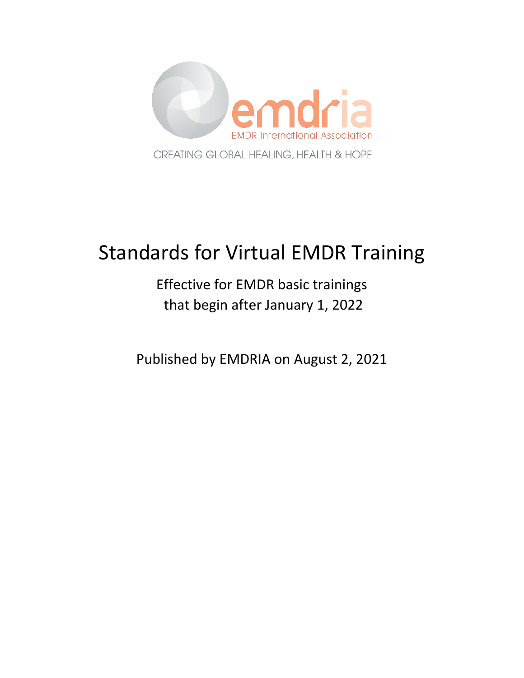

# Standards for Virtual EMDR Training

## Effective for EMDR basic trainings that begin after January 1, 2022

Published by EMDRIA on August 2, 2021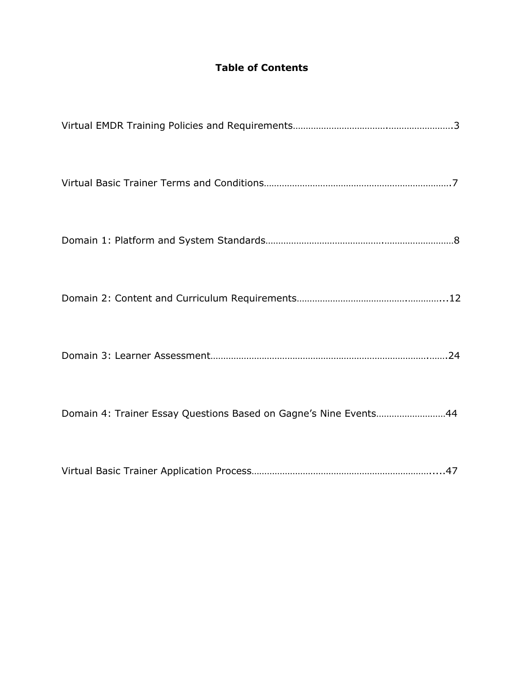## **Table of Contents**

| Domain 4: Trainer Essay Questions Based on Gagne's Nine Events44 |
|------------------------------------------------------------------|
|                                                                  |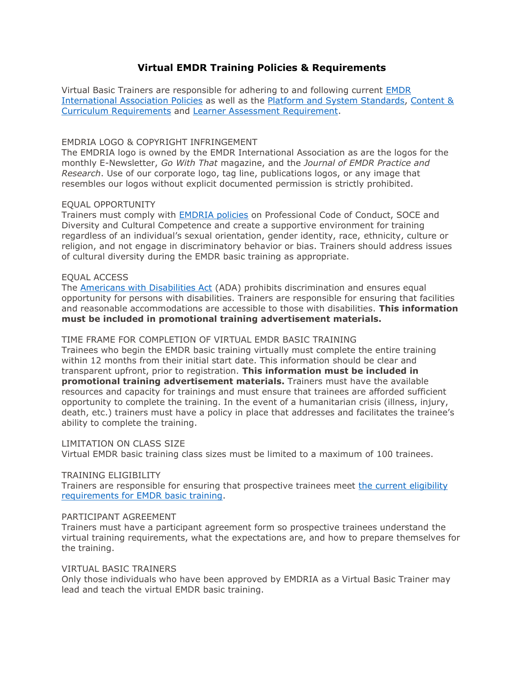## **Virtual EMDR Training Policies & Requirements**

Virtual Basic Trainers are responsible for adhering to and following current [EMDR](https://www.emdria.org/about-emdria/emdr-international-association-policies/)  [International Association Policies](https://www.emdria.org/about-emdria/emdr-international-association-policies/) as well as the [Platform and System Standards,](https://mk0emdrias99osg9utnb.kinstacdn.com/wp-content/uploads/2021/02/Virtual-EMDR-Training-Domain-1-Standards.pdf) [Content &](https://mk0emdrias99osg9utnb.kinstacdn.com/wp-content/uploads/2021/08/Virtual-EMDR-Training-Standards-Domain-2.pdf)  [Curriculum Requirements](https://mk0emdrias99osg9utnb.kinstacdn.com/wp-content/uploads/2021/08/Virtual-EMDR-Training-Standards-Domain-2.pdf) and [Learner Assessment Requirement.](https://mk0emdrias99osg9utnb.kinstacdn.com/wp-content/uploads/2021/05/Virtual-Learning-Assessment-Domain-3.pdf)

## EMDRIA LOGO & COPYRIGHT INFRINGEMENT

The EMDRIA logo is owned by the EMDR International Association as are the logos for the monthly E-Newsletter, *Go With That* magazine, and the *Journal of EMDR Practice and Research*. Use of our corporate logo, tag line, publications logos, or any image that resembles our logos without explicit documented permission is strictly prohibited.

## EQUAL OPPORTUNITY

Trainers must comply with **EMDRIA policies** on Professional Code of Conduct, SOCE and Diversity and Cultural Competence and create a supportive environment for training regardless of an individual's sexual orientation, gender identity, race, ethnicity, culture or religion, and not engage in discriminatory behavior or bias. Trainers should address issues of cultural diversity during the EMDR basic training as appropriate.

## EQUAL ACCESS

The [Americans with Disabilities Act](https://www.ada.gov/) (ADA) prohibits discrimination and ensures equal opportunity for persons with disabilities. Trainers are responsible for ensuring that facilities and reasonable accommodations are accessible to those with disabilities. **This information must be included in promotional training advertisement materials.**

## TIME FRAME FOR COMPLETION OF VIRTUAL EMDR BASIC TRAINING

Trainees who begin the EMDR basic training virtually must complete the entire training within 12 months from their initial start date. This information should be clear and transparent upfront, prior to registration. **This information must be included in promotional training advertisement materials.** Trainers must have the available resources and capacity for trainings and must ensure that trainees are afforded sufficient opportunity to complete the training. In the event of a humanitarian crisis (illness, injury, death, etc.) trainers must have a policy in place that addresses and facilitates the trainee's ability to complete the training.

## LIMITATION ON CLASS SIZE

Virtual EMDR basic training class sizes must be limited to a maximum of 100 trainees.

## TRAINING ELIGIBILITY

Trainers are responsible for ensuring that prospective trainees meet [the current eligibility](https://www.emdria.org/emdr-training-education/emdr-training/eligibility-requirements-for-emdr-training/)  [requirements for EMDR basic training.](https://www.emdria.org/emdr-training-education/emdr-training/eligibility-requirements-for-emdr-training/)

#### PARTICIPANT AGREEMENT

Trainers must have a participant agreement form so prospective trainees understand the virtual training requirements, what the expectations are, and how to prepare themselves for the training.

## VIRTUAL BASIC TRAINERS

Only those individuals who have been approved by EMDRIA as a Virtual Basic Trainer may lead and teach the virtual EMDR basic training.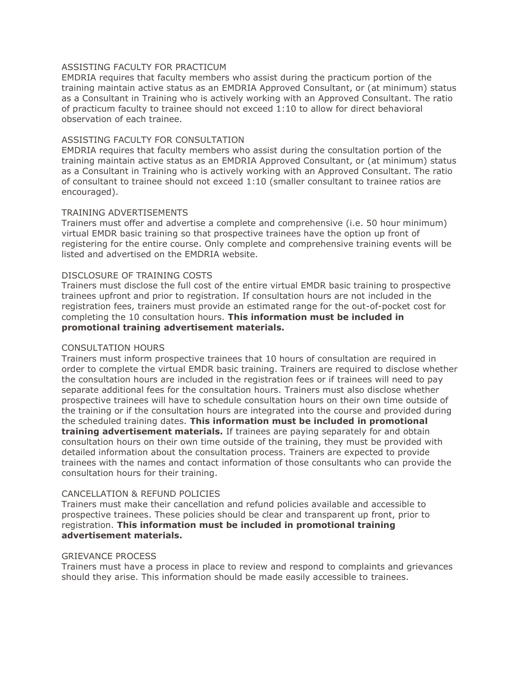## ASSISTING FACULTY FOR PRACTICUM

EMDRIA requires that faculty members who assist during the practicum portion of the training maintain active status as an EMDRIA Approved Consultant, or (at minimum) status as a Consultant in Training who is actively working with an Approved Consultant. The ratio of practicum faculty to trainee should not exceed 1:10 to allow for direct behavioral observation of each trainee.

#### ASSISTING FACULTY FOR CONSULTATION

EMDRIA requires that faculty members who assist during the consultation portion of the training maintain active status as an EMDRIA Approved Consultant, or (at minimum) status as a Consultant in Training who is actively working with an Approved Consultant. The ratio of consultant to trainee should not exceed 1:10 (smaller consultant to trainee ratios are encouraged).

#### TRAINING ADVERTISEMENTS

Trainers must offer and advertise a complete and comprehensive (i.e. 50 hour minimum) virtual EMDR basic training so that prospective trainees have the option up front of registering for the entire course. Only complete and comprehensive training events will be listed and advertised on the EMDRIA website.

#### DISCLOSURE OF TRAINING COSTS

Trainers must disclose the full cost of the entire virtual EMDR basic training to prospective trainees upfront and prior to registration. If consultation hours are not included in the registration fees, trainers must provide an estimated range for the out-of-pocket cost for completing the 10 consultation hours. **This information must be included in promotional training advertisement materials.**

#### CONSULTATION HOURS

Trainers must inform prospective trainees that 10 hours of consultation are required in order to complete the virtual EMDR basic training. Trainers are required to disclose whether the consultation hours are included in the registration fees or if trainees will need to pay separate additional fees for the consultation hours. Trainers must also disclose whether prospective trainees will have to schedule consultation hours on their own time outside of the training or if the consultation hours are integrated into the course and provided during the scheduled training dates. **This information must be included in promotional training advertisement materials.** If trainees are paying separately for and obtain consultation hours on their own time outside of the training, they must be provided with detailed information about the consultation process. Trainers are expected to provide trainees with the names and contact information of those consultants who can provide the consultation hours for their training.

#### CANCELLATION & REFUND POLICIES

Trainers must make their cancellation and refund policies available and accessible to prospective trainees. These policies should be clear and transparent up front, prior to registration. **This information must be included in promotional training advertisement materials.**

#### GRIEVANCE PROCESS

Trainers must have a process in place to review and respond to complaints and grievances should they arise. This information should be made easily accessible to trainees.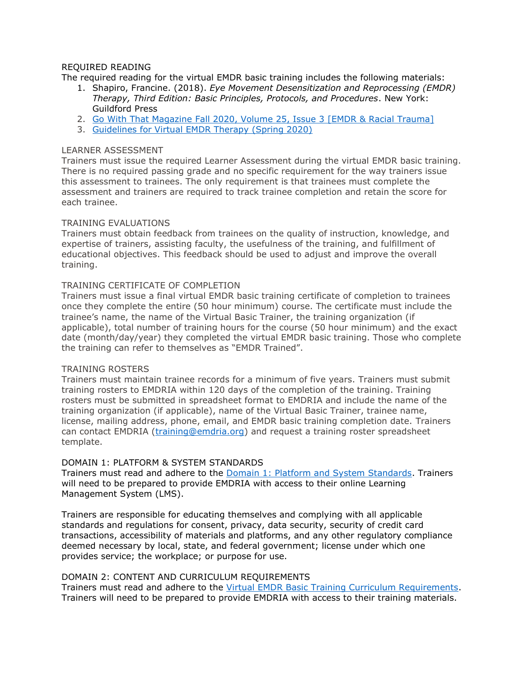## REQUIRED READING

The required reading for the virtual EMDR basic training includes the following materials:

- 1. Shapiro, Francine. (2018). *Eye Movement Desensitization and Reprocessing (EMDR) Therapy, Third Edition: Basic Principles, Protocols, and Procedures*. New York: Guildford Press
- 2. [Go With That Magazine Fall 2020, Volume 25, Issue 3](https://mk0emdrias99osg9utnb.kinstacdn.com/wp-content/uploads/2021/05/GWT.2020.Vol_.25.Issue_.3.RacialTrauma.ALL_.pdf) [EMDR & Racial Trauma]
- 3. [Guidelines for Virtual EMDR Therapy \(Spring 2020\)](https://mk0emdrias99osg9utnb.kinstacdn.com/wp-content/uploads/2020/04/virtual_tg_report_for_member.pdf)

#### LEARNER ASSESSMENT

Trainers must issue the required Learner Assessment during the virtual EMDR basic training. There is no required passing grade and no specific requirement for the way trainers issue this assessment to trainees. The only requirement is that trainees must complete the assessment and trainers are required to track trainee completion and retain the score for each trainee.

#### TRAINING EVALUATIONS

Trainers must obtain feedback from trainees on the quality of instruction, knowledge, and expertise of trainers, assisting faculty, the usefulness of the training, and fulfillment of educational objectives. This feedback should be used to adjust and improve the overall training.

#### TRAINING CERTIFICATE OF COMPLETION

Trainers must issue a final virtual EMDR basic training certificate of completion to trainees once they complete the entire (50 hour minimum) course. The certificate must include the trainee's name, the name of the Virtual Basic Trainer, the training organization (if applicable), total number of training hours for the course (50 hour minimum) and the exact date (month/day/year) they completed the virtual EMDR basic training. Those who complete the training can refer to themselves as "EMDR Trained".

#### TRAINING ROSTERS

Trainers must maintain trainee records for a minimum of five years. Trainers must submit training rosters to EMDRIA within 120 days of the completion of the training. Training rosters must be submitted in spreadsheet format to EMDRIA and include the name of the training organization (if applicable), name of the Virtual Basic Trainer, trainee name, license, mailing address, phone, email, and EMDR basic training completion date. Trainers can contact EMDRIA [\(training@emdria.org\)](mailto:training@emdria.org) and request a training roster spreadsheet template.

## DOMAIN 1: PLATFORM & SYSTEM STANDARDS

Trainers must read and adhere to the [Domain 1: Platform and System Standards.](https://mk0emdrias99osg9utnb.kinstacdn.com/wp-content/uploads/2021/02/Virtual-EMDR-Training-Domain-1-Standards.pdf) Trainers will need to be prepared to provide EMDRIA with access to their online Learning Management System (LMS).

Trainers are responsible for educating themselves and complying with all applicable standards and regulations for consent, privacy, data security, security of credit card transactions, accessibility of materials and platforms, and any other regulatory compliance deemed necessary by local, state, and federal government; license under which one provides service; the workplace; or purpose for use.

## DOMAIN 2: CONTENT AND CURRICULUM REQUIREMENTS

Trainers must read and adhere to the [Virtual EMDR Basic Training Curriculum Requirements.](https://mk0emdrias99osg9utnb.kinstacdn.com/wp-content/uploads/2021/08/Virtual-EMDR-Training-Standards-Domain-2.pdf) Trainers will need to be prepared to provide EMDRIA with access to their training materials.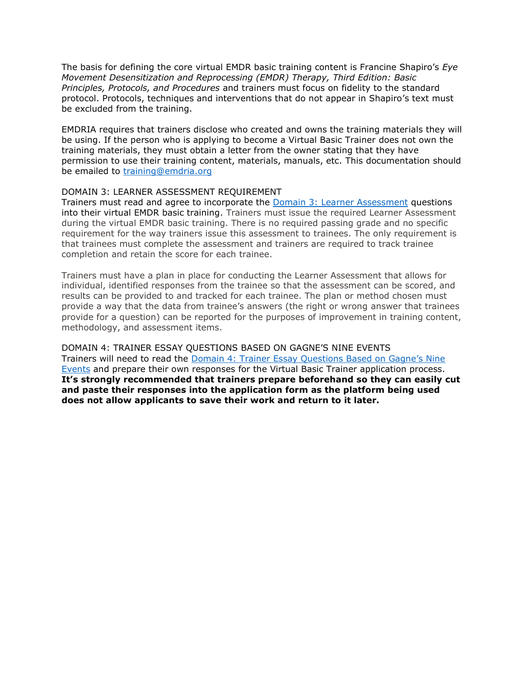The basis for defining the core virtual EMDR basic training content is Francine Shapiro's *Eye Movement Desensitization and Reprocessing (EMDR) Therapy, Third Edition: Basic Principles, Protocols, and Procedures* and trainers must focus on fidelity to the standard protocol. Protocols, techniques and interventions that do not appear in Shapiro's text must be excluded from the training.

EMDRIA requires that trainers disclose who created and owns the training materials they will be using. If the person who is applying to become a Virtual Basic Trainer does not own the training materials, they must obtain a letter from the owner stating that they have permission to use their training content, materials, manuals, etc. This documentation should be emailed to [training@emdria.org](mailto:training@emdria.org)

#### DOMAIN 3: LEARNER ASSESSMENT REQUIREMENT

Trainers must read and agree to incorporate the **Domain 3: Learner Assessment** questions into their virtual EMDR basic training. Trainers must issue the required Learner Assessment during the virtual EMDR basic training. There is no required passing grade and no specific requirement for the way trainers issue this assessment to trainees. The only requirement is that trainees must complete the assessment and trainers are required to track trainee completion and retain the score for each trainee.

Trainers must have a plan in place for conducting the Learner Assessment that allows for individual, identified responses from the trainee so that the assessment can be scored, and results can be provided to and tracked for each trainee. The plan or method chosen must provide a way that the data from trainee's answers (the right or wrong answer that trainees provide for a question) can be reported for the purposes of improvement in training content, methodology, and assessment items.

DOMAIN 4: TRAINER ESSAY QUESTIONS BASED ON GAGNE'S NINE EVENTS Trainers will need to read the [Domain 4: Trainer Essay Questions Based on Gagne's Nine](https://mk0emdrias99osg9utnb.kinstacdn.com/wp-content/uploads/2021/07/Virtual-EMDR-Trainer-Essay-Questions-Domain-4.pdf)  [Events](https://mk0emdrias99osg9utnb.kinstacdn.com/wp-content/uploads/2021/07/Virtual-EMDR-Trainer-Essay-Questions-Domain-4.pdf) and prepare their own responses for the Virtual Basic Trainer application process. **It's strongly recommended that trainers prepare beforehand so they can easily cut and paste their responses into the application form as the platform being used does not allow applicants to save their work and return to it later.**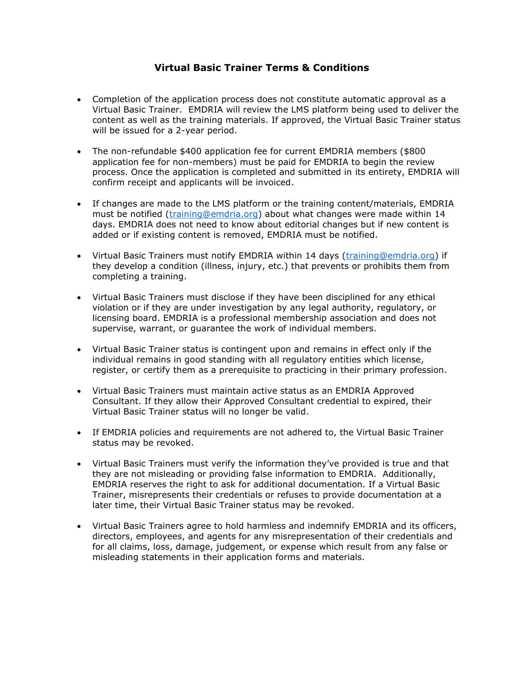## **Virtual Basic Trainer Terms & Conditions**

- Completion of the application process does not constitute automatic approval as a Virtual Basic Trainer. EMDRIA will review the LMS platform being used to deliver the content as well as the training materials. If approved, the Virtual Basic Trainer status will be issued for a 2-year period.
- The non-refundable \$400 application fee for current EMDRIA members (\$800 application fee for non-members) must be paid for EMDRIA to begin the review process. Once the application is completed and submitted in its entirety, EMDRIA will confirm receipt and applicants will be invoiced.
- If changes are made to the LMS platform or the training content/materials, EMDRIA must be notified [\(training@emdria.org\)](mailto:training@emdria.org) about what changes were made within 14 days. EMDRIA does not need to know about editorial changes but if new content is added or if existing content is removed, EMDRIA must be notified.
- Virtual Basic Trainers must notify EMDRIA within 14 days [\(training@emdria.org\)](mailto:training@emdria.org) if they develop a condition (illness, injury, etc.) that prevents or prohibits them from completing a training.
- Virtual Basic Trainers must disclose if they have been disciplined for any ethical violation or if they are under investigation by any legal authority, regulatory, or licensing board. EMDRIA is a professional membership association and does not supervise, warrant, or guarantee the work of individual members.
- Virtual Basic Trainer status is contingent upon and remains in effect only if the individual remains in good standing with all regulatory entities which license, register, or certify them as a prerequisite to practicing in their primary profession.
- Virtual Basic Trainers must maintain active status as an EMDRIA Approved Consultant. If they allow their Approved Consultant credential to expired, their Virtual Basic Trainer status will no longer be valid.
- If EMDRIA policies and requirements are not adhered to, the Virtual Basic Trainer status may be revoked.
- Virtual Basic Trainers must verify the information they've provided is true and that they are not misleading or providing false information to EMDRIA. Additionally, EMDRIA reserves the right to ask for additional documentation. If a Virtual Basic Trainer, misrepresents their credentials or refuses to provide documentation at a later time, their Virtual Basic Trainer status may be revoked.
- Virtual Basic Trainers agree to hold harmless and indemnify EMDRIA and its officers, directors, employees, and agents for any misrepresentation of their credentials and for all claims, loss, damage, judgement, or expense which result from any false or misleading statements in their application forms and materials.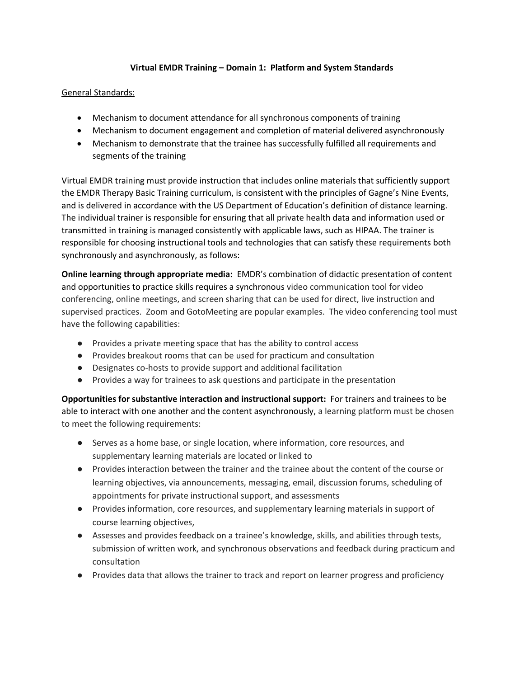## **Virtual EMDR Training – Domain 1: Platform and System Standards**

## General Standards:

- Mechanism to document attendance for all synchronous components of training
- Mechanism to document engagement and completion of material delivered asynchronously
- Mechanism to demonstrate that the trainee has successfully fulfilled all requirements and segments of the training

Virtual EMDR training must provide instruction that includes online materials that sufficiently support the EMDR Therapy Basic Training curriculum, is consistent with the principles of Gagne's Nine Events, and is delivered in accordance with the US Department of Education's definition of distance learning. The individual trainer is responsible for ensuring that all private health data and information used or transmitted in training is managed consistently with applicable laws, such as HIPAA. The trainer is responsible for choosing instructional tools and technologies that can satisfy these requirements both synchronously and asynchronously, as follows:

**Online learning through appropriate media:** EMDR's combination of didactic presentation of content and opportunities to practice skills requires a synchronous video communication tool for video conferencing, online meetings, and screen sharing that can be used for direct, live instruction and supervised practices. Zoom and GotoMeeting are popular examples. The video conferencing tool must have the following capabilities:

- Provides a private meeting space that has the ability to control access
- Provides breakout rooms that can be used for practicum and consultation
- Designates co-hosts to provide support and additional facilitation
- Provides a way for trainees to ask questions and participate in the presentation

**Opportunities for substantive interaction and instructional support:** For trainers and trainees to be able to interact with one another and the content asynchronously, a learning platform must be chosen to meet the following requirements:

- Serves as a home base, or single location, where information, core resources, and supplementary learning materials are located or linked to
- Provides interaction between the trainer and the trainee about the content of the course or learning objectives, via announcements, messaging, email, discussion forums, scheduling of appointments for private instructional support, and assessments
- Provides information, core resources, and supplementary learning materials in support of course learning objectives,
- Assesses and provides feedback on a trainee's knowledge, skills, and abilities through tests, submission of written work, and synchronous observations and feedback during practicum and consultation
- Provides data that allows the trainer to track and report on learner progress and proficiency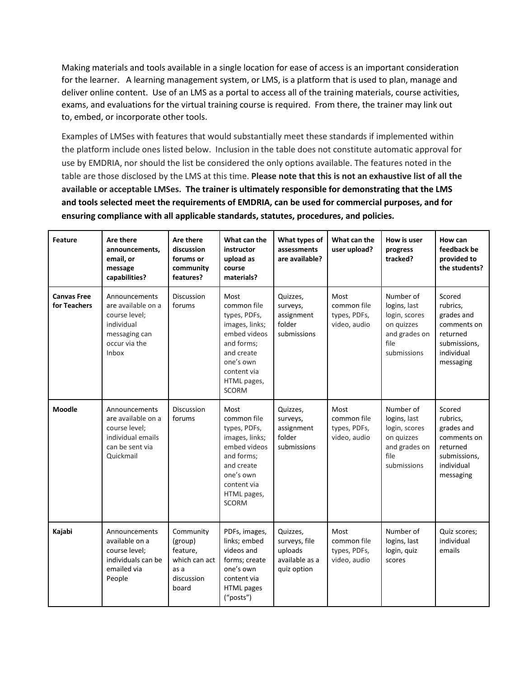Making materials and tools available in a single location for ease of access is an important consideration for the learner. A learning management system, or LMS, is a platform that is used to plan, manage and deliver online content. Use of an LMS as a portal to access all of the training materials, course activities, exams, and evaluations for the virtual training course is required. From there, the trainer may link out to, embed, or incorporate other tools.

Examples of LMSes with features that would substantially meet these standards if implemented within the platform include ones listed below. Inclusion in the table does not constitute automatic approval for use by EMDRIA, nor should the list be considered the only options available. The features noted in the table are those disclosed by the LMS at this time. **Please note that this is not an exhaustive list of all the available or acceptable LMSes. The trainer is ultimately responsible for demonstrating that the LMS and tools selected meet the requirements of EMDRIA, can be used for commercial purposes, and for ensuring compliance with all applicable standards, statutes, procedures, and policies.**

| <b>Feature</b>                     | Are there<br>announcements,<br>email, or<br>message<br>capabilities?                                          | Are there<br>discussion<br>forums or<br>community<br>features?                   | What can the<br>instructor<br>upload as<br>course<br>materials?                                                                                              | What types of<br>assessments<br>are available?                        | What can the<br>user upload?                        | How is user<br>progress<br>tracked?                                                              | How can<br>feedback be<br>provided to<br>the students?                                                 |
|------------------------------------|---------------------------------------------------------------------------------------------------------------|----------------------------------------------------------------------------------|--------------------------------------------------------------------------------------------------------------------------------------------------------------|-----------------------------------------------------------------------|-----------------------------------------------------|--------------------------------------------------------------------------------------------------|--------------------------------------------------------------------------------------------------------|
| <b>Canvas Free</b><br>for Teachers | Announcements<br>are available on a<br>course level:<br>individual<br>messaging can<br>occur via the<br>Inbox | <b>Discussion</b><br>forums                                                      | Most<br>common file<br>types, PDFs,<br>images, links;<br>embed videos<br>and forms:<br>and create<br>one's own<br>content via<br>HTML pages,<br><b>SCORM</b> | Quizzes,<br>surveys,<br>assignment<br>folder<br>submissions           | Most<br>common file<br>types, PDFs,<br>video, audio | Number of<br>logins, last<br>login, scores<br>on quizzes<br>and grades on<br>file<br>submissions | Scored<br>rubrics,<br>grades and<br>comments on<br>returned<br>submissions,<br>individual<br>messaging |
| <b>Moodle</b>                      | Announcements<br>are available on a<br>course level;<br>individual emails<br>can be sent via<br>Quickmail     | Discussion<br>forums                                                             | Most<br>common file<br>types, PDFs,<br>images, links;<br>embed videos<br>and forms;<br>and create<br>one's own<br>content via<br>HTML pages,<br><b>SCORM</b> | Quizzes,<br>surveys,<br>assignment<br>folder<br>submissions           | Most<br>common file<br>types, PDFs,<br>video, audio | Number of<br>logins, last<br>login, scores<br>on quizzes<br>and grades on<br>file<br>submissions | Scored<br>rubrics,<br>grades and<br>comments on<br>returned<br>submissions,<br>individual<br>messaging |
| Kajabi                             | Announcements<br>available on a<br>course level;<br>individuals can be<br>emailed via<br>People               | Community<br>(group)<br>feature,<br>which can act<br>as a<br>discussion<br>board | PDFs, images,<br>links; embed<br>videos and<br>forms; create<br>one's own<br>content via<br><b>HTML</b> pages<br>("posts")                                   | Quizzes,<br>surveys, file<br>uploads<br>available as a<br>quiz option | Most<br>common file<br>types, PDFs,<br>video, audio | Number of<br>logins, last<br>login, quiz<br>scores                                               | Quiz scores;<br>individual<br>emails                                                                   |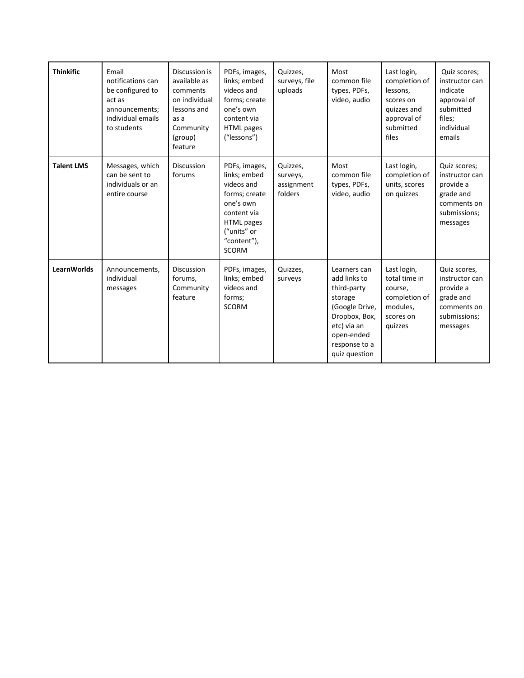| <b>Thinkific</b>  | Email<br>notifications can<br>be configured to<br>act as<br>announcements;<br>individual emails<br>to students | Discussion is<br>available as<br>comments<br>on individual<br>lessons and<br>as a<br>Community<br>(group)<br>feature | PDFs, images,<br>links; embed<br>videos and<br>forms; create<br>one's own<br>content via<br><b>HTML</b> pages<br>("lessons")                                | Quizzes,<br>surveys, file<br>uploads          | Most<br>common file<br>types, PDFs,<br>video, audio                                                                                                      | Last login,<br>completion of<br>lessons,<br>scores on<br>quizzes and<br>approval of<br>submitted<br>files | Quiz scores;<br>instructor can<br>indicate<br>approval of<br>submitted<br>files;<br>individual<br>emails |
|-------------------|----------------------------------------------------------------------------------------------------------------|----------------------------------------------------------------------------------------------------------------------|-------------------------------------------------------------------------------------------------------------------------------------------------------------|-----------------------------------------------|----------------------------------------------------------------------------------------------------------------------------------------------------------|-----------------------------------------------------------------------------------------------------------|----------------------------------------------------------------------------------------------------------|
| <b>Talent LMS</b> | Messages, which<br>can be sent to<br>individuals or an<br>entire course                                        | Discussion<br>forums                                                                                                 | PDFs, images,<br>links; embed<br>videos and<br>forms; create<br>one's own<br>content via<br><b>HTML</b> pages<br>("units" or<br>"content"),<br><b>SCORM</b> | Quizzes,<br>surveys,<br>assignment<br>folders | Most<br>common file<br>types, PDFs,<br>video, audio                                                                                                      | Last login,<br>completion of<br>units, scores<br>on quizzes                                               | Quiz scores;<br>instructor can<br>provide a<br>grade and<br>comments on<br>submissions;<br>messages      |
| LearnWorlds       | Announcements,<br>individual<br>messages                                                                       | <b>Discussion</b><br>forums,<br>Community<br>feature                                                                 | PDFs, images,<br>links; embed<br>videos and<br>forms;<br><b>SCORM</b>                                                                                       | Quizzes,<br>surveys                           | Learners can<br>add links to<br>third-party<br>storage<br>(Google Drive,<br>Dropbox, Box,<br>etc) via an<br>open-ended<br>response to a<br>quiz question | Last login,<br>total time in<br>course,<br>completion of<br>modules,<br>scores on<br>quizzes              | Quiz scores,<br>instructor can<br>provide a<br>grade and<br>comments on<br>submissions;<br>messages      |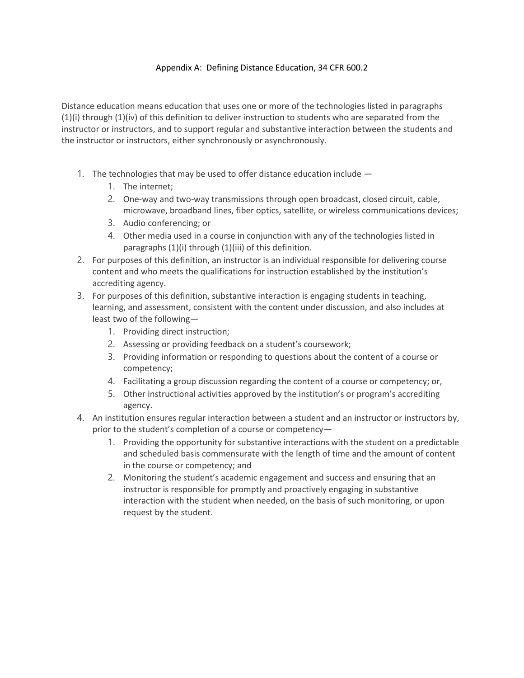## Appendix A: Defining Distance Education, 34 CFR 600.2

Distance education means education that uses one or more of the technologies listed in paragraphs (1)(i) through (1)(iv) of this definition to deliver instruction to students who are separated from the instructor or instructors, and to support regular and substantive interaction between the students and the instructor or instructors, either synchronously or asynchronously.

- 1. The technologies that may be used to offer distance education include
	- 1. The internet;
	- 2. One-way and two-way transmissions through open broadcast, closed circuit, cable, microwave, broadband lines, fiber optics, satellite, or wireless communications devices;
	- 3. Audio conferencing; or
	- 4. Other media used in a course in conjunction with any of the technologies listed in paragraphs (1)(i) through (1)(iii) of this definition.
- 2. For purposes of this definition, an instructor is an individual responsible for delivering course content and who meets the qualifications for instruction established by the institution's accrediting agency.
- 3. For purposes of this definition, substantive interaction is engaging students in teaching, learning, and assessment, consistent with the content under discussion, and also includes at least two of the following—
	- 1. Providing direct instruction;
	- 2. Assessing or providing feedback on a student's coursework;
	- 3. Providing information or responding to questions about the content of a course or competency;
	- 4. Facilitating a group discussion regarding the content of a course or competency; or,
	- 5. Other instructional activities approved by the institution's or program's accrediting agency.
- 4. An institution ensures regular interaction between a student and an instructor or instructors by, prior to the student's completion of a course or competency—
	- 1. Providing the opportunity for substantive interactions with the student on a predictable and scheduled basis commensurate with the length of time and the amount of content in the course or competency; and
	- 2. Monitoring the student's academic engagement and success and ensuring that an instructor is responsible for promptly and proactively engaging in substantive interaction with the student when needed, on the basis of such monitoring, or upon request by the student.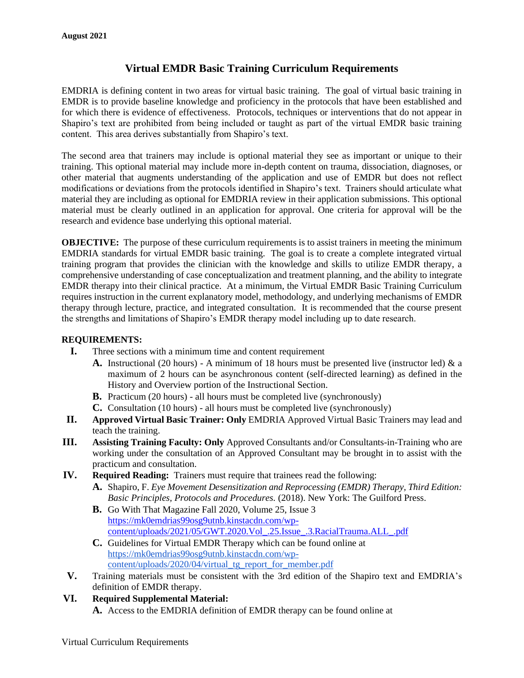## **Virtual EMDR Basic Training Curriculum Requirements**

EMDRIA is defining content in two areas for virtual basic training. The goal of virtual basic training in EMDR is to provide baseline knowledge and proficiency in the protocols that have been established and for which there is evidence of effectiveness. Protocols, techniques or interventions that do not appear in Shapiro's text are prohibited from being included or taught as part of the virtual EMDR basic training content. This area derives substantially from Shapiro's text.

The second area that trainers may include is optional material they see as important or unique to their training. This optional material may include more in-depth content on trauma, dissociation, diagnoses, or other material that augments understanding of the application and use of EMDR but does not reflect modifications or deviations from the protocols identified in Shapiro's text. Trainers should articulate what material they are including as optional for EMDRIA review in their application submissions. This optional material must be clearly outlined in an application for approval. One criteria for approval will be the research and evidence base underlying this optional material.

**OBJECTIVE:** The purpose of these curriculum requirements is to assist trainers in meeting the minimum EMDRIA standards for virtual EMDR basic training. The goal is to create a complete integrated virtual training program that provides the clinician with the knowledge and skills to utilize EMDR therapy, a comprehensive understanding of case conceptualization and treatment planning, and the ability to integrate EMDR therapy into their clinical practice. At a minimum, the Virtual EMDR Basic Training Curriculum requires instruction in the current explanatory model, methodology, and underlying mechanisms of EMDR therapy through lecture, practice, and integrated consultation. It is recommended that the course present the strengths and limitations of Shapiro's EMDR therapy model including up to date research.

## **REQUIREMENTS:**

- **I.** Three sections with a minimum time and content requirement
	- **A.** Instructional (20 hours) A minimum of 18 hours must be presented live (instructor led)  $\&$  a maximum of 2 hours can be asynchronous content (self-directed learning) as defined in the History and Overview portion of the Instructional Section.
	- **B.** Practicum (20 hours) all hours must be completed live (synchronously)
	- **C.** Consultation (10 hours) all hours must be completed live (synchronously)
- **II. Approved Virtual Basic Trainer: Only** EMDRIA Approved Virtual Basic Trainers may lead and teach the training.
- **III. Assisting Training Faculty: Only** Approved Consultants and/or Consultants-in-Training who are working under the consultation of an Approved Consultant may be brought in to assist with the practicum and consultation.
- **IV. Required Reading:**Trainers must require that trainees read the following:
	- **A.** Shapiro, F. *Eye Movement Desensitization and Reprocessing (EMDR) Therapy, Third Edition: Basic Principles, Protocols and Procedures.* (2018). New York: The Guilford Press.
	- **B.** Go With That Magazine Fall 2020, Volume 25, Issue 3 [https://mk0emdrias99osg9utnb.kinstacdn.com/wp](https://mk0emdrias99osg9utnb.kinstacdn.com/wp-content/uploads/2021/05/GWT.2020.Vol_.25.Issue_.3.RacialTrauma.ALL_.pdf)[content/uploads/2021/05/GWT.2020.Vol\\_.25.Issue\\_.3.RacialTrauma.ALL\\_.pdf](https://mk0emdrias99osg9utnb.kinstacdn.com/wp-content/uploads/2021/05/GWT.2020.Vol_.25.Issue_.3.RacialTrauma.ALL_.pdf)
	- **C.** Guidelines for Virtual EMDR Therapy which can be found online at [https://mk0emdrias99osg9utnb.kinstacdn.com/wp](https://mk0emdrias99osg9utnb.kinstacdn.com/wp-content/uploads/2020/04/virtual_tg_report_for_member.pdf)[content/uploads/2020/04/virtual\\_tg\\_report\\_for\\_member.pdf](https://mk0emdrias99osg9utnb.kinstacdn.com/wp-content/uploads/2020/04/virtual_tg_report_for_member.pdf)
- **V.** Training materials must be consistent with the 3rd edition of the Shapiro text and EMDRIA's definition of EMDR therapy.
- **VI. Required Supplemental Material:**
	- **A.** Access to the EMDRIA definition of EMDR therapy can be found online at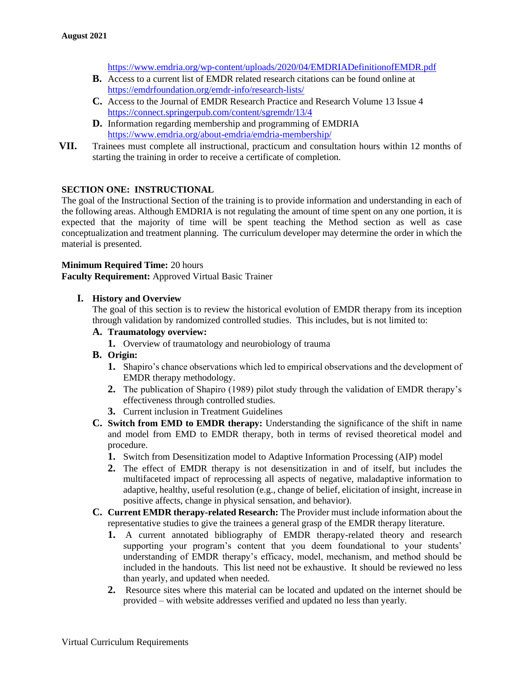<https://www.emdria.org/wp-content/uploads/2020/04/EMDRIADefinitionofEMDR.pdf>

- **B.** Access to a current list of EMDR related research citations can be found online at <https://emdrfoundation.org/emdr-info/research-lists/>
- **C.** Access to the Journal of EMDR Research Practice and Research Volume 13 Issue 4 <https://connect.springerpub.com/content/sgremdr/13/4>
- **D.** Information regarding membership and programming of EMDRIA <https://www.emdria.org/about-emdria/emdria-membership/>
- **VII.** Trainees must complete all instructional, practicum and consultation hours within 12 months of starting the training in order to receive a certificate of completion.

## **SECTION ONE: INSTRUCTIONAL**

The goal of the Instructional Section of the training is to provide information and understanding in each of the following areas. Although EMDRIA is not regulating the amount of time spent on any one portion, it is expected that the majority of time will be spent teaching the Method section as well as case conceptualization and treatment planning. The curriculum developer may determine the order in which the material is presented.

## **Minimum Required Time:** 20 hours

**Faculty Requirement:** Approved Virtual Basic Trainer

## **I. History and Overview**

The goal of this section is to review the historical evolution of EMDR therapy from its inception through validation by randomized controlled studies. This includes, but is not limited to:

## **A. Traumatology overview:**

**1.** Overview of traumatology and neurobiology of trauma

## **B. Origin:**

- **1.** Shapiro's chance observations which led to empirical observations and the development of EMDR therapy methodology.
- **2.** The publication of Shapiro (1989) pilot study through the validation of EMDR therapy's effectiveness through controlled studies.
- **3.** Current inclusion in Treatment Guidelines
- **C. Switch from EMD to EMDR therapy:** Understanding the significance of the shift in name and model from EMD to EMDR therapy, both in terms of revised theoretical model and procedure.
	- **1.** Switch from Desensitization model to Adaptive Information Processing (AIP) model
	- **2.** The effect of EMDR therapy is not desensitization in and of itself, but includes the multifaceted impact of reprocessing all aspects of negative, maladaptive information to adaptive, healthy, useful resolution (e.g., change of belief, elicitation of insight, increase in positive affects, change in physical sensation, and behavior).
- **C. Current EMDR therapy-related Research:** The Provider must include information about the representative studies to give the trainees a general grasp of the EMDR therapy literature.
	- **1.** A current annotated bibliography of EMDR therapy-related theory and research supporting your program's content that you deem foundational to your students' understanding of EMDR therapy's efficacy, model, mechanism, and method should be included in the handouts. This list need not be exhaustive. It should be reviewed no less than yearly, and updated when needed.
	- **2.** Resource sites where this material can be located and updated on the internet should be provided – with website addresses verified and updated no less than yearly.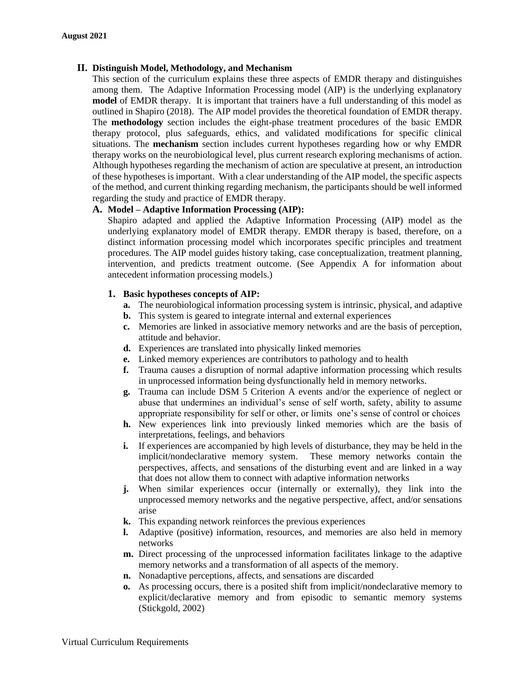## **II. Distinguish Model, Methodology, and Mechanism**

This section of the curriculum explains these three aspects of EMDR therapy and distinguishes among them. The Adaptive Information Processing model (AIP) is the underlying explanatory **model** of EMDR therapy. It is important that trainers have a full understanding of this model as outlined in Shapiro (2018). The AIP model provides the theoretical foundation of EMDR therapy. The **methodology** section includes the eight-phase treatment procedures of the basic EMDR therapy protocol, plus safeguards, ethics, and validated modifications for specific clinical situations. The **mechanism** section includes current hypotheses regarding how or why EMDR therapy works on the neurobiological level, plus current research exploring mechanisms of action. Although hypotheses regarding the mechanism of action are speculative at present, an introduction of these hypotheses is important. With a clear understanding of the AIP model, the specific aspects of the method, and current thinking regarding mechanism, the participants should be well informed regarding the study and practice of EMDR therapy.

## **A. Model – Adaptive Information Processing (AIP):**

Shapiro adapted and applied the Adaptive Information Processing (AIP) model as the underlying explanatory model of EMDR therapy. EMDR therapy is based, therefore, on a distinct information processing model which incorporates specific principles and treatment procedures. The AIP model guides history taking, case conceptualization, treatment planning, intervention, and predicts treatment outcome. (See Appendix A for information about antecedent information processing models.)

## **1. Basic hypotheses concepts of AIP:**

- **a.** The neurobiological information processing system is intrinsic, physical, and adaptive
- **b.** This system is geared to integrate internal and external experiences
- **c.** Memories are linked in associative memory networks and are the basis of perception, attitude and behavior.
- **d.** Experiences are translated into physically linked memories
- **e.** Linked memory experiences are contributors to pathology and to health
- **f.** Trauma causes a disruption of normal adaptive information processing which results in unprocessed information being dysfunctionally held in memory networks.
- **g.** Trauma can include DSM 5 Criterion A events and/or the experience of neglect or abuse that undermines an individual's sense of self worth, safety, ability to assume appropriate responsibility for self or other, or limits one's sense of control or choices
- **h.** New experiences link into previously linked memories which are the basis of interpretations, feelings, and behaviors
- **i.** If experiences are accompanied by high levels of disturbance, they may be held in the implicit/nondeclarative memory system. These memory networks contain the perspectives, affects, and sensations of the disturbing event and are linked in a way that does not allow them to connect with adaptive information networks
- **j.** When similar experiences occur (internally or externally), they link into the unprocessed memory networks and the negative perspective, affect, and/or sensations arise
- **k.** This expanding network reinforces the previous experiences
- **l.** Adaptive (positive) information, resources, and memories are also held in memory networks
- **m.** Direct processing of the unprocessed information facilitates linkage to the adaptive memory networks and a transformation of all aspects of the memory.
- **n.** Nonadaptive perceptions, affects, and sensations are discarded
- **o.** As processing occurs, there is a posited shift from implicit/nondeclarative memory to explicit/declarative memory and from episodic to semantic memory systems (Stickgold, 2002)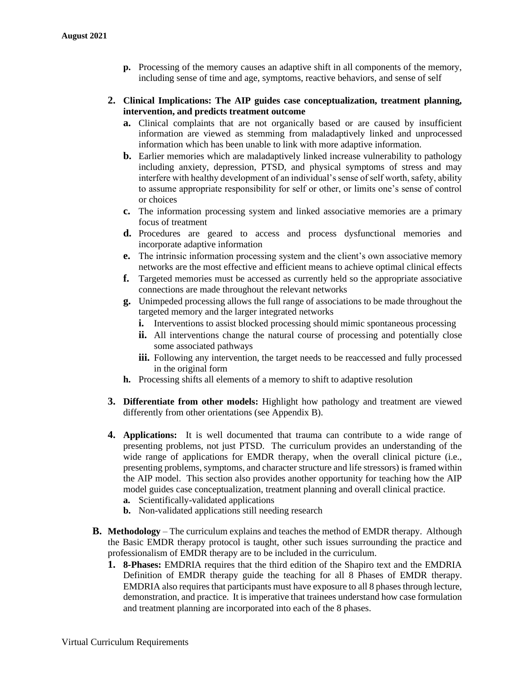**p.** Processing of the memory causes an adaptive shift in all components of the memory, including sense of time and age, symptoms, reactive behaviors, and sense of self

## **2. Clinical Implications: The AIP guides case conceptualization, treatment planning, intervention, and predicts treatment outcome**

- **a.** Clinical complaints that are not organically based or are caused by insufficient information are viewed as stemming from maladaptively linked and unprocessed information which has been unable to link with more adaptive information.
- **b.** Earlier memories which are maladaptively linked increase vulnerability to pathology including anxiety, depression, PTSD, and physical symptoms of stress and may interfere with healthy development of an individual's sense of self worth, safety, ability to assume appropriate responsibility for self or other, or limits one's sense of control or choices
- **c.** The information processing system and linked associative memories are a primary focus of treatment
- **d.** Procedures are geared to access and process dysfunctional memories and incorporate adaptive information
- **e.** The intrinsic information processing system and the client's own associative memory networks are the most effective and efficient means to achieve optimal clinical effects
- **f.** Targeted memories must be accessed as currently held so the appropriate associative connections are made throughout the relevant networks
- **g.** Unimpeded processing allows the full range of associations to be made throughout the targeted memory and the larger integrated networks
	- **i.** Interventions to assist blocked processing should mimic spontaneous processing
	- **ii.** All interventions change the natural course of processing and potentially close some associated pathways
	- iii. Following any intervention, the target needs to be reaccessed and fully processed in the original form
- **h.** Processing shifts all elements of a memory to shift to adaptive resolution
- **3. Differentiate from other models:** Highlight how pathology and treatment are viewed differently from other orientations (see Appendix B).
- **4. Applications:** It is well documented that trauma can contribute to a wide range of presenting problems, not just PTSD. The curriculum provides an understanding of the wide range of applications for EMDR therapy, when the overall clinical picture (i.e., presenting problems, symptoms, and character structure and life stressors) is framed within the AIP model. This section also provides another opportunity for teaching how the AIP model guides case conceptualization, treatment planning and overall clinical practice.
	- **a.** Scientifically-validated applications
	- **b.** Non-validated applications still needing research
- **B. Methodology** The curriculum explains and teaches the method of EMDR therapy. Although the Basic EMDR therapy protocol is taught, other such issues surrounding the practice and professionalism of EMDR therapy are to be included in the curriculum.
	- **1. 8-Phases:** EMDRIA requires that the third edition of the Shapiro text and the EMDRIA Definition of EMDR therapy guide the teaching for all 8 Phases of EMDR therapy. EMDRIA also requires that participants must have exposure to all 8 phases through lecture, demonstration, and practice. It is imperative that trainees understand how case formulation and treatment planning are incorporated into each of the 8 phases.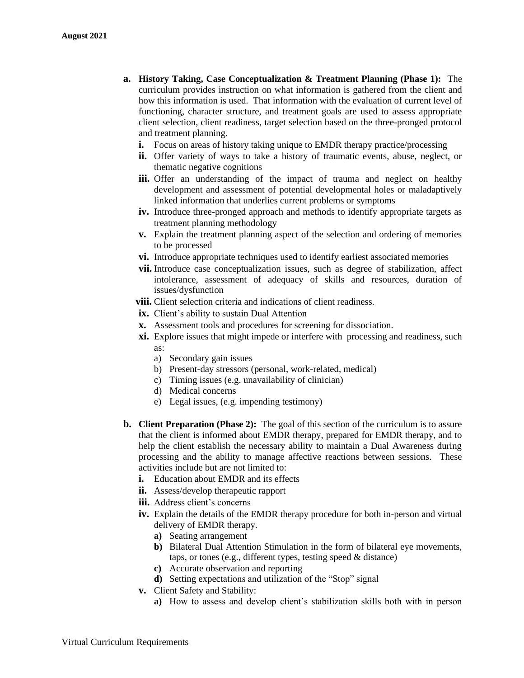- **a. History Taking, Case Conceptualization & Treatment Planning (Phase 1):** The curriculum provides instruction on what information is gathered from the client and how this information is used. That information with the evaluation of current level of functioning, character structure, and treatment goals are used to assess appropriate client selection, client readiness, target selection based on the three-pronged protocol and treatment planning.
	- **i.** Focus on areas of history taking unique to EMDR therapy practice/processing
	- **ii.** Offer variety of ways to take a history of traumatic events, abuse, neglect, or thematic negative cognitions
	- **iii.** Offer an understanding of the impact of trauma and neglect on healthy development and assessment of potential developmental holes or maladaptively linked information that underlies current problems or symptoms
	- **iv.** Introduce three-pronged approach and methods to identify appropriate targets as treatment planning methodology
	- **v.** Explain the treatment planning aspect of the selection and ordering of memories to be processed
	- **vi.** Introduce appropriate techniques used to identify earliest associated memories
	- **vii.** Introduce case conceptualization issues, such as degree of stabilization, affect intolerance, assessment of adequacy of skills and resources, duration of issues/dysfunction
	- **viii.** Client selection criteria and indications of client readiness.
	- **ix.** Client's ability to sustain Dual Attention
	- **x.** Assessment tools and procedures for screening for dissociation.
	- **xi.** Explore issues that might impede or interfere with processing and readiness, such as:
		- a) Secondary gain issues
		- b) Present-day stressors (personal, work-related, medical)
		- c) Timing issues (e.g. unavailability of clinician)
		- d) Medical concerns
		- e) Legal issues, (e.g. impending testimony)
- **b. Client Preparation (Phase 2):** The goal of this section of the curriculum is to assure that the client is informed about EMDR therapy, prepared for EMDR therapy, and to help the client establish the necessary ability to maintain a Dual Awareness during processing and the ability to manage affective reactions between sessions. These activities include but are not limited to:
	- **i.** Education about EMDR and its effects
	- **ii.** Assess/develop therapeutic rapport
	- **iii.** Address client's concerns
	- **iv.** Explain the details of the EMDR therapy procedure for both in-person and virtual delivery of EMDR therapy.
		- **a)** Seating arrangement
		- **b)** Bilateral Dual Attention Stimulation in the form of bilateral eye movements, taps, or tones (e.g., different types, testing speed & distance)
		- **c)** Accurate observation and reporting
		- **d)** Setting expectations and utilization of the "Stop" signal
	- **v.** Client Safety and Stability:
		- **a)** How to assess and develop client's stabilization skills both with in person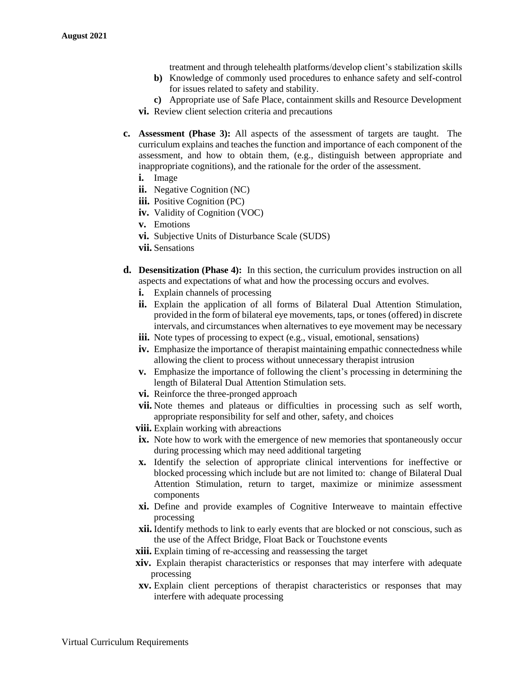treatment and through telehealth platforms/develop client's stabilization skills

- **b)** Knowledge of commonly used procedures to enhance safety and self-control for issues related to safety and stability.
- **c)** Appropriate use of Safe Place, containment skills and Resource Development **vi.** Review client selection criteria and precautions
- **c. Assessment (Phase 3):** All aspects of the assessment of targets are taught. The curriculum explains and teaches the function and importance of each component of the assessment, and how to obtain them, (e.g., distinguish between appropriate and inappropriate cognitions), and the rationale for the order of the assessment.
	- **i.** Image
	- **ii.** Negative Cognition (NC)
	- **iii.** Positive Cognition (PC)
	- **iv.** Validity of Cognition (VOC)
	- **v.** Emotions
	- **vi.** Subjective Units of Disturbance Scale (SUDS)
	- **vii.** Sensations
- **d. Desensitization (Phase 4):** In this section, the curriculum provides instruction on all aspects and expectations of what and how the processing occurs and evolves.
	- **i.** Explain channels of processing
	- **ii.** Explain the application of all forms of Bilateral Dual Attention Stimulation, provided in the form of bilateral eye movements, taps, or tones (offered) in discrete intervals, and circumstances when alternatives to eye movement may be necessary
	- iii. Note types of processing to expect (e.g., visual, emotional, sensations)
	- **iv.** Emphasize the importance of therapist maintaining empathic connectedness while allowing the client to process without unnecessary therapist intrusion
	- **v.** Emphasize the importance of following the client's processing in determining the length of Bilateral Dual Attention Stimulation sets.
	- **vi.** Reinforce the three-pronged approach
	- **vii.** Note themes and plateaus or difficulties in processing such as self worth, appropriate responsibility for self and other, safety, and choices
	- **viii.** Explain working with abreactions
	- **ix.** Note how to work with the emergence of new memories that spontaneously occur during processing which may need additional targeting
	- **x.** Identify the selection of appropriate clinical interventions for ineffective or blocked processing which include but are not limited to: change of Bilateral Dual Attention Stimulation, return to target, maximize or minimize assessment components
	- **xi.** Define and provide examples of Cognitive Interweave to maintain effective processing
	- **xii.** Identify methods to link to early events that are blocked or not conscious, such as the use of the Affect Bridge, Float Back or Touchstone events
	- **xiii.** Explain timing of re-accessing and reassessing the target
	- **xiv.** Explain therapist characteristics or responses that may interfere with adequate processing
	- **xv.** Explain client perceptions of therapist characteristics or responses that may interfere with adequate processing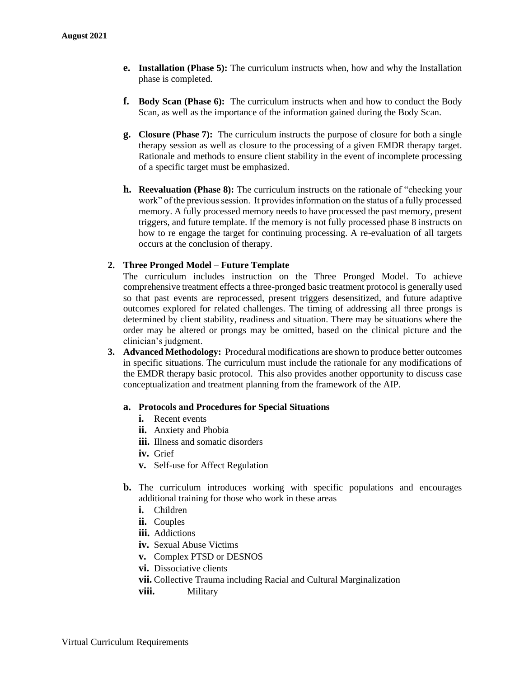- **e. Installation (Phase 5):** The curriculum instructs when, how and why the Installation phase is completed.
- **f. Body Scan (Phase 6):** The curriculum instructs when and how to conduct the Body Scan, as well as the importance of the information gained during the Body Scan.
- **g. Closure (Phase 7):** The curriculum instructs the purpose of closure for both a single therapy session as well as closure to the processing of a given EMDR therapy target. Rationale and methods to ensure client stability in the event of incomplete processing of a specific target must be emphasized.
- **h. Reevaluation (Phase 8):** The curriculum instructs on the rationale of "checking your work" of the previous session. It provides information on the status of a fully processed memory. A fully processed memory needs to have processed the past memory, present triggers, and future template. If the memory is not fully processed phase 8 instructs on how to re engage the target for continuing processing. A re-evaluation of all targets occurs at the conclusion of therapy.

## **2. Three Pronged Model – Future Template**

The curriculum includes instruction on the Three Pronged Model. To achieve comprehensive treatment effects a three-pronged basic treatment protocol is generally used so that past events are reprocessed, present triggers desensitized, and future adaptive outcomes explored for related challenges. The timing of addressing all three prongs is determined by client stability, readiness and situation. There may be situations where the order may be altered or prongs may be omitted, based on the clinical picture and the clinician's judgment.

**3. Advanced Methodology:** Procedural modifications are shown to produce better outcomes in specific situations. The curriculum must include the rationale for any modifications of the EMDR therapy basic protocol. This also provides another opportunity to discuss case conceptualization and treatment planning from the framework of the AIP.

#### **a. Protocols and Procedures for Special Situations**

- **i.** Recent events
- **ii.** Anxiety and Phobia
- **iii.** Illness and somatic disorders
- **iv.** Grief
- **v.** Self-use for Affect Regulation
- **b.** The curriculum introduces working with specific populations and encourages additional training for those who work in these areas
	- **i.** Children
	- **ii.** Couples
	- **iii.** Addictions
	- **iv.** Sexual Abuse Victims
	- **v.** Complex PTSD or DESNOS
	- **vi.** Dissociative clients
	- **vii.** Collective Trauma including Racial and Cultural Marginalization
	- **viii.** Military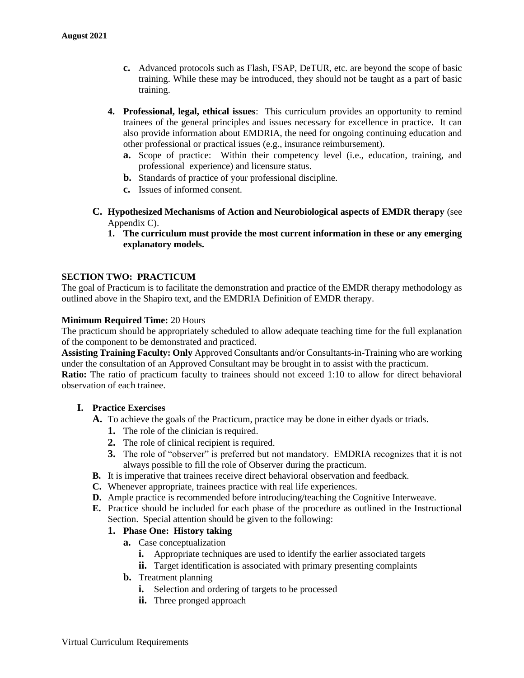- **c.** Advanced protocols such as Flash, FSAP, DeTUR, etc. are beyond the scope of basic training. While these may be introduced, they should not be taught as a part of basic training.
- **4. Professional, legal, ethical issues**: This curriculum provides an opportunity to remind trainees of the general principles and issues necessary for excellence in practice. It can also provide information about EMDRIA, the need for ongoing continuing education and other professional or practical issues (e.g., insurance reimbursement).
	- **a.** Scope of practice: Within their competency level (i.e., education, training, and professional experience) and licensure status.
	- **b.** Standards of practice of your professional discipline.
	- **c.** Issues of informed consent.
- **C. Hypothesized Mechanisms of Action and Neurobiological aspects of EMDR therapy** (see Appendix C).
	- **1. The curriculum must provide the most current information in these or any emerging explanatory models.**

## **SECTION TWO: PRACTICUM**

The goal of Practicum is to facilitate the demonstration and practice of the EMDR therapy methodology as outlined above in the Shapiro text, and the EMDRIA Definition of EMDR therapy.

## **Minimum Required Time:** 20 Hours

The practicum should be appropriately scheduled to allow adequate teaching time for the full explanation of the component to be demonstrated and practiced.

**Assisting Training Faculty: Only** Approved Consultants and/or Consultants-in-Training who are working under the consultation of an Approved Consultant may be brought in to assist with the practicum.

**Ratio:** The ratio of practicum faculty to trainees should not exceed 1:10 to allow for direct behavioral observation of each trainee.

## **I. Practice Exercises**

- **A.** To achieve the goals of the Practicum, practice may be done in either dyads or triads.
	- **1.** The role of the clinician is required.
	- **2.** The role of clinical recipient is required.
	- **3.** The role of "observer" is preferred but not mandatory. EMDRIA recognizes that it is not always possible to fill the role of Observer during the practicum.
- **B.** It is imperative that trainees receive direct behavioral observation and feedback.
- **C.** Whenever appropriate, trainees practice with real life experiences.
- **D.** Ample practice is recommended before introducing/teaching the Cognitive Interweave.
- **E.** Practice should be included for each phase of the procedure as outlined in the Instructional Section. Special attention should be given to the following:

## **1. Phase One: History taking**

- **a.** Case conceptualization
	- **i.** Appropriate techniques are used to identify the earlier associated targets
	- **ii.** Target identification is associated with primary presenting complaints
- **b.** Treatment planning
	- **i.** Selection and ordering of targets to be processed
	- **ii.** Three pronged approach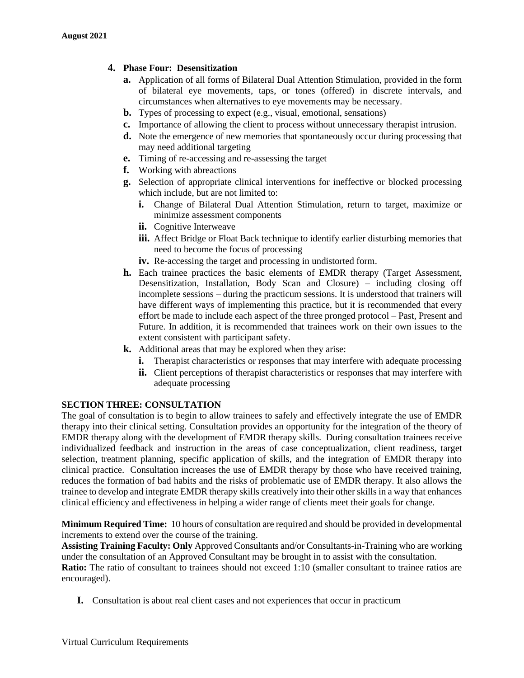## **4. Phase Four: Desensitization**

- **a.** Application of all forms of Bilateral Dual Attention Stimulation, provided in the form of bilateral eye movements, taps, or tones (offered) in discrete intervals, and circumstances when alternatives to eye movements may be necessary.
- **b.** Types of processing to expect (e.g., visual, emotional, sensations)
- **c.** Importance of allowing the client to process without unnecessary therapist intrusion.
- **d.** Note the emergence of new memories that spontaneously occur during processing that may need additional targeting
- **e.** Timing of re-accessing and re-assessing the target
- **f.** Working with abreactions
- **g.** Selection of appropriate clinical interventions for ineffective or blocked processing which include, but are not limited to:
	- **i.** Change of Bilateral Dual Attention Stimulation, return to target, maximize or minimize assessment components
	- **ii.** Cognitive Interweave
	- **iii.** Affect Bridge or Float Back technique to identify earlier disturbing memories that need to become the focus of processing
	- **iv.** Re-accessing the target and processing in undistorted form.
- **h.** Each trainee practices the basic elements of EMDR therapy (Target Assessment, Desensitization, Installation, Body Scan and Closure) – including closing off incomplete sessions – during the practicum sessions. It is understood that trainers will have different ways of implementing this practice, but it is recommended that every effort be made to include each aspect of the three pronged protocol – Past, Present and Future. In addition, it is recommended that trainees work on their own issues to the extent consistent with participant safety.
- **k.** Additional areas that may be explored when they arise:
	- **i.** Therapist characteristics or responses that may interfere with adequate processing
	- **ii.** Client perceptions of therapist characteristics or responses that may interfere with adequate processing

## **SECTION THREE: CONSULTATION**

The goal of consultation is to begin to allow trainees to safely and effectively integrate the use of EMDR therapy into their clinical setting. Consultation provides an opportunity for the integration of the theory of EMDR therapy along with the development of EMDR therapy skills. During consultation trainees receive individualized feedback and instruction in the areas of case conceptualization, client readiness, target selection, treatment planning, specific application of skills, and the integration of EMDR therapy into clinical practice.Consultation increases the use of EMDR therapy by those who have received training, reduces the formation of bad habits and the risks of problematic use of EMDR therapy. It also allows the trainee to develop and integrate EMDR therapy skills creatively into their other skills in a way that enhances clinical efficiency and effectiveness in helping a wider range of clients meet their goals for change.

**Minimum Required Time:** 10 hours of consultation are required and should be provided in developmental increments to extend over the course of the training.

**Assisting Training Faculty: Only** Approved Consultants and/or Consultants-in-Training who are working under the consultation of an Approved Consultant may be brought in to assist with the consultation.

**Ratio:** The ratio of consultant to trainees should not exceed 1:10 (smaller consultant to trainee ratios are encouraged).

**I.** Consultation is about real client cases and not experiences that occur in practicum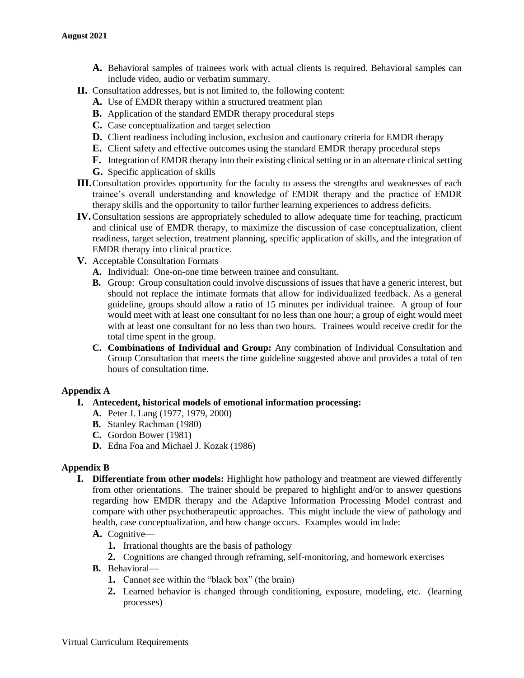- **A.** Behavioral samples of trainees work with actual clients is required. Behavioral samples can include video, audio or verbatim summary.
- **II.** Consultation addresses, but is not limited to, the following content:
	- **A.** Use of EMDR therapy within a structured treatment plan
	- **B.** Application of the standard EMDR therapy procedural steps
	- **C.** Case conceptualization and target selection
	- **D.** Client readiness including inclusion, exclusion and cautionary criteria for EMDR therapy
	- **E.** Client safety and effective outcomes using the standard EMDR therapy procedural steps
	- **F.** Integration of EMDR therapy into their existing clinical setting or in an alternate clinical setting
	- **G.** Specific application of skills
- **III.**Consultation provides opportunity for the faculty to assess the strengths and weaknesses of each trainee's overall understanding and knowledge of EMDR therapy and the practice of EMDR therapy skills and the opportunity to tailor further learning experiences to address deficits.
- **IV.**Consultation sessions are appropriately scheduled to allow adequate time for teaching, practicum and clinical use of EMDR therapy, to maximize the discussion of case conceptualization, client readiness, target selection, treatment planning, specific application of skills, and the integration of EMDR therapy into clinical practice.
- **V.** Acceptable Consultation Formats
	- **A.** Individual: One-on-one time between trainee and consultant.
	- **B.** Group: Group consultation could involve discussions of issues that have a generic interest, but should not replace the intimate formats that allow for individualized feedback. As a general guideline, groups should allow a ratio of 15 minutes per individual trainee. A group of four would meet with at least one consultant for no less than one hour; a group of eight would meet with at least one consultant for no less than two hours. Trainees would receive credit for the total time spent in the group.
	- **C. Combinations of Individual and Group:** Any combination of Individual Consultation and Group Consultation that meets the time guideline suggested above and provides a total of ten hours of consultation time.

## **Appendix A**

- **I. Antecedent, historical models of emotional information processing:** 
	- **A.** Peter J. Lang (1977, 1979, 2000)
	- **B.** Stanley Rachman (1980)
	- **C.** Gordon Bower (1981)
	- **D.** Edna Foa and Michael J. Kozak (1986)

## **Appendix B**

**I. Differentiate from other models:** Highlight how pathology and treatment are viewed differently from other orientations. The trainer should be prepared to highlight and/or to answer questions regarding how EMDR therapy and the Adaptive Information Processing Model contrast and compare with other psychotherapeutic approaches. This might include the view of pathology and health, case conceptualization, and how change occurs. Examples would include:

## **A.** Cognitive—

- **1.** Irrational thoughts are the basis of pathology
- **2.** Cognitions are changed through reframing, self-monitoring, and homework exercises
- **B.** Behavioral—
	- **1.** Cannot see within the "black box" (the brain)
	- **2.** Learned behavior is changed through conditioning, exposure, modeling, etc. (learning processes)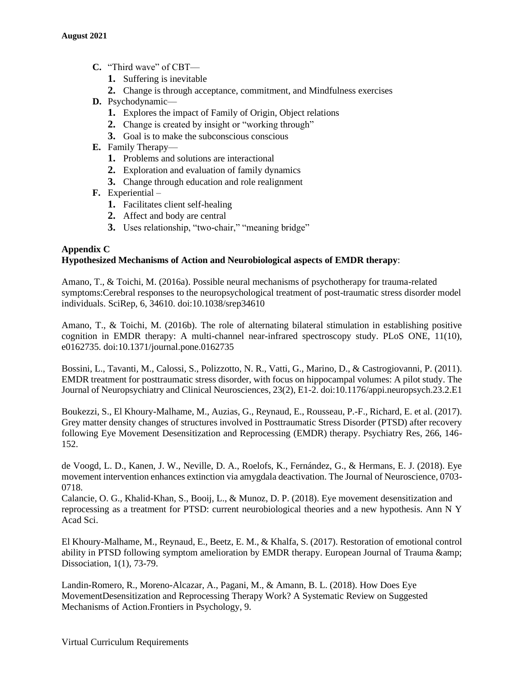- **C.** "Third wave" of CBT—
	- **1.** Suffering is inevitable
	- **2.** Change is through acceptance, commitment, and Mindfulness exercises
- **D.** Psychodynamic—
	- **1.** Explores the impact of Family of Origin, Object relations
	- **2.** Change is created by insight or "working through"
	- **3.** Goal is to make the subconscious conscious
- **E.** Family Therapy—
	- **1.** Problems and solutions are interactional
	- **2.** Exploration and evaluation of family dynamics
	- **3.** Change through education and role realignment
- **F.** Experiential
	- **1.** Facilitates client self-healing
	- **2.** Affect and body are central
	- **3.** Uses relationship, "two-chair," "meaning bridge"

## **Appendix C Hypothesized Mechanisms of Action and Neurobiological aspects of EMDR therapy**:

Amano, T., & Toichi, M. (2016a). Possible neural mechanisms of psychotherapy for trauma-related symptoms:Cerebral responses to the neuropsychological treatment of post-traumatic stress disorder model individuals. SciRep, 6, 34610. doi:10.1038/srep34610

Amano, T., & Toichi, M. (2016b). The role of alternating bilateral stimulation in establishing positive cognition in EMDR therapy: A multi-channel near-infrared spectroscopy study. PLoS ONE, 11(10), e0162735. doi:10.1371/journal.pone.0162735

Bossini, L., Tavanti, M., Calossi, S., Polizzotto, N. R., Vatti, G., Marino, D., & Castrogiovanni, P. (2011). EMDR treatment for posttraumatic stress disorder, with focus on hippocampal volumes: A pilot study. The Journal of Neuropsychiatry and Clinical Neurosciences, 23(2), E1-2. doi:10.1176/appi.neuropsych.23.2.E1

Boukezzi, S., El Khoury-Malhame, M., Auzias, G., Reynaud, E., Rousseau, P.-F., Richard, E. et al. (2017). Grey matter density changes of structures involved in Posttraumatic Stress Disorder (PTSD) after recovery following Eye Movement Desensitization and Reprocessing (EMDR) therapy. Psychiatry Res, 266, 146- 152.

de Voogd, L. D., Kanen, J. W., Neville, D. A., Roelofs, K., Fernández, G., & Hermans, E. J. (2018). Eye movement intervention enhances extinction via amygdala deactivation. The Journal of Neuroscience, 0703- 0718.

Calancie, O. G., Khalid-Khan, S., Booij, L., & Munoz, D. P. (2018). Eye movement desensitization and reprocessing as a treatment for PTSD: current neurobiological theories and a new hypothesis. Ann N Y Acad Sci.

El Khoury-Malhame, M., Reynaud, E., Beetz, E. M., & Khalfa, S. (2017). Restoration of emotional control ability in PTSD following symptom amelioration by EMDR therapy. European Journal of Trauma & amp; Dissociation, 1(1), 73-79.

Landin-Romero, R., Moreno-Alcazar, A., Pagani, M., & Amann, B. L. (2018). How Does Eye MovementDesensitization and Reprocessing Therapy Work? A Systematic Review on Suggested Mechanisms of Action.Frontiers in Psychology, 9.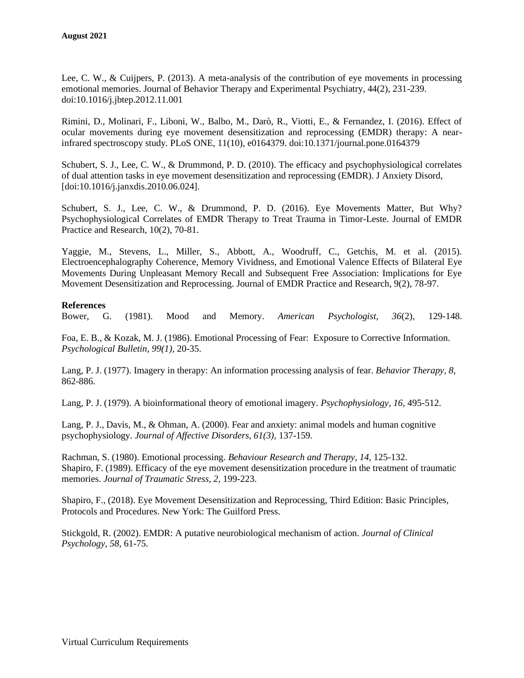Lee, C. W., & Cuijpers, P. (2013). A meta-analysis of the contribution of eye movements in processing emotional memories. Journal of Behavior Therapy and Experimental Psychiatry, 44(2), 231-239. doi:10.1016/j.jbtep.2012.11.001

Rimini, D., Molinari, F., Liboni, W., Balbo, M., Darò, R., Viotti, E., & Fernandez, I. (2016). Effect of ocular movements during eye movement desensitization and reprocessing (EMDR) therapy: A nearinfrared spectroscopy study. PLoS ONE, 11(10), e0164379. doi:10.1371/journal.pone.0164379

Schubert, S. J., Lee, C. W., & Drummond, P. D. (2010). The efficacy and psychophysiological correlates of dual attention tasks in eye movement desensitization and reprocessing (EMDR). J Anxiety Disord, [doi:10.1016/j.janxdis.2010.06.024].

Schubert, S. J., Lee, C. W., & Drummond, P. D. (2016). Eye Movements Matter, But Why? Psychophysiological Correlates of EMDR Therapy to Treat Trauma in Timor-Leste. Journal of EMDR Practice and Research, 10(2), 70-81.

Yaggie, M., Stevens, L., Miller, S., Abbott, A., Woodruff, C., Getchis, M. et al. (2015). Electroencephalography Coherence, Memory Vividness, and Emotional Valence Effects of Bilateral Eye Movements During Unpleasant Memory Recall and Subsequent Free Association: Implications for Eye Movement Desensitization and Reprocessing. Journal of EMDR Practice and Research, 9(2), 78-97.

## **References**

Bower, G. (1981). Mood and Memory. *American Psychologist, 36*(2), 129-148.

Foa, E. B., & Kozak, M. J. (1986). Emotional Processing of Fear: Exposure to Corrective Information. *Psychological Bulletin, 99(1),* 20-35.

Lang, P. J. (1977). Imagery in therapy: An information processing analysis of fear. *Behavior Therapy, 8,* 862-886.

Lang, P. J. (1979). A bioinformational theory of emotional imagery. *Psychophysiology, 16,* 495-512.

Lang, P. J., Davis, M., & Ohman, A. (2000). Fear and anxiety: animal models and human cognitive psychophysiology. *Journal of Affective Disorders, 61(3),* 137-159.

Rachman, S. (1980). Emotional processing. *Behaviour Research and Therapy, 14,* 125-132. Shapiro, F. (1989). Efficacy of the eye movement desensitization procedure in the treatment of traumatic memories. *Journal of Traumatic Stress, 2,* 199-223.

Shapiro, F., (2018). Eye Movement Desensitization and Reprocessing, Third Edition: Basic Principles, Protocols and Procedures. New York: The Guilford Press.

Stickgold, R. (2002). EMDR: A putative neurobiological mechanism of action. *Journal of Clinical Psychology, 58,* 61-75.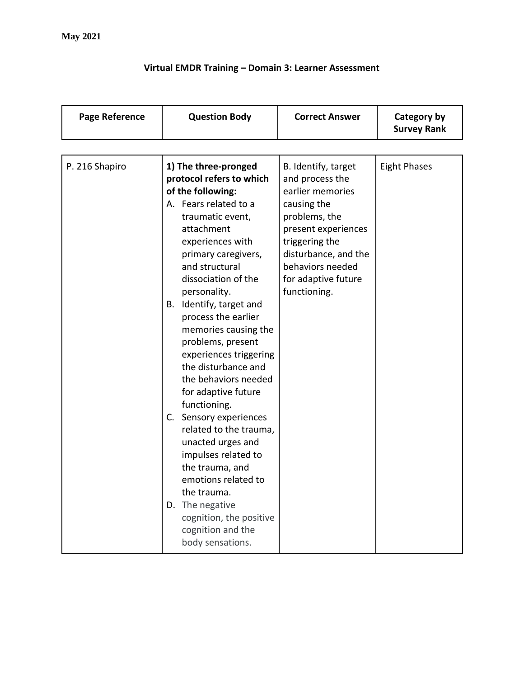## **Virtual EMDR Training – Domain 3: Learner Assessment**

| <b>Page Reference</b> | <b>Question Body</b>                                                                                                                                                                                                                                                                                                                                                                                                                                                                                                                                                                                                                                                                                      | <b>Correct Answer</b>                                                                                                                                                                                                  | Category by<br><b>Survey Rank</b> |
|-----------------------|-----------------------------------------------------------------------------------------------------------------------------------------------------------------------------------------------------------------------------------------------------------------------------------------------------------------------------------------------------------------------------------------------------------------------------------------------------------------------------------------------------------------------------------------------------------------------------------------------------------------------------------------------------------------------------------------------------------|------------------------------------------------------------------------------------------------------------------------------------------------------------------------------------------------------------------------|-----------------------------------|
|                       |                                                                                                                                                                                                                                                                                                                                                                                                                                                                                                                                                                                                                                                                                                           |                                                                                                                                                                                                                        |                                   |
| P. 216 Shapiro        | 1) The three-pronged<br>protocol refers to which<br>of the following:<br>A. Fears related to a<br>traumatic event,<br>attachment<br>experiences with<br>primary caregivers,<br>and structural<br>dissociation of the<br>personality.<br>Identify, target and<br>В.<br>process the earlier<br>memories causing the<br>problems, present<br>experiences triggering<br>the disturbance and<br>the behaviors needed<br>for adaptive future<br>functioning.<br>Sensory experiences<br>C.<br>related to the trauma,<br>unacted urges and<br>impulses related to<br>the trauma, and<br>emotions related to<br>the trauma.<br>D. The negative<br>cognition, the positive<br>cognition and the<br>body sensations. | B. Identify, target<br>and process the<br>earlier memories<br>causing the<br>problems, the<br>present experiences<br>triggering the<br>disturbance, and the<br>behaviors needed<br>for adaptive future<br>functioning. | <b>Eight Phases</b>               |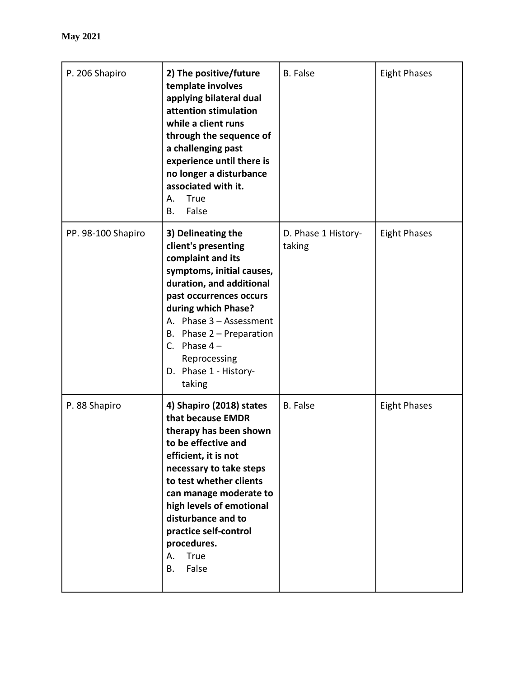| P. 206 Shapiro     | 2) The positive/future<br>template involves<br>applying bilateral dual<br>attention stimulation<br>while a client runs<br>through the sequence of<br>a challenging past<br>experience until there is<br>no longer a disturbance<br>associated with it.<br>True<br>А.<br>False<br>Β.                                                  | <b>B.</b> False               | <b>Eight Phases</b> |
|--------------------|--------------------------------------------------------------------------------------------------------------------------------------------------------------------------------------------------------------------------------------------------------------------------------------------------------------------------------------|-------------------------------|---------------------|
| PP. 98-100 Shapiro | 3) Delineating the<br>client's presenting<br>complaint and its<br>symptoms, initial causes,<br>duration, and additional<br>past occurrences occurs<br>during which Phase?<br>A. Phase 3 - Assessment<br>B. Phase $2$ – Preparation<br>C. Phase $4-$<br>Reprocessing<br>D. Phase 1 - History-<br>taking                               | D. Phase 1 History-<br>taking | <b>Eight Phases</b> |
| P. 88 Shapiro      | 4) Shapiro (2018) states<br>that because EMDR<br>therapy has been shown<br>to be effective and<br>efficient, it is not<br>necessary to take steps<br>to test whether clients<br>can manage moderate to<br>high levels of emotional<br>disturbance and to<br>practice self-control<br>procedures.<br>True<br>Α.<br>False<br><b>B.</b> | <b>B.</b> False               | <b>Eight Phases</b> |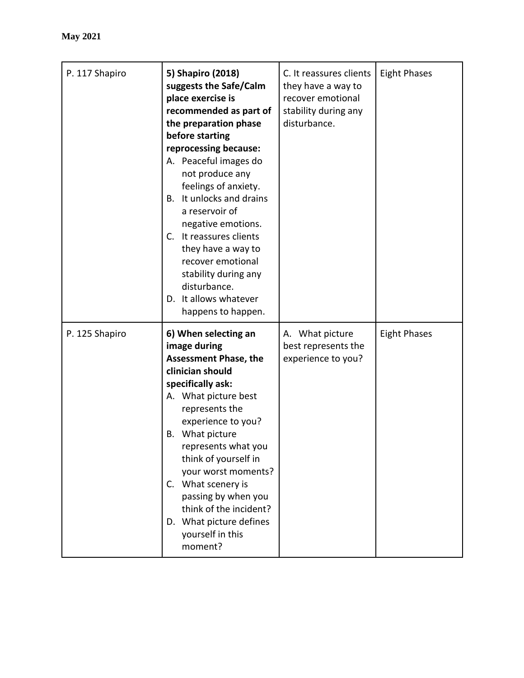| P. 117 Shapiro | 5) Shapiro (2018)<br>suggests the Safe/Calm<br>place exercise is<br>recommended as part of<br>the preparation phase<br>before starting<br>reprocessing because:<br>A. Peaceful images do<br>not produce any<br>feelings of anxiety.<br>B. It unlocks and drains<br>a reservoir of<br>negative emotions.<br>C. It reassures clients<br>they have a way to<br>recover emotional<br>stability during any<br>disturbance.<br>D. It allows whatever<br>happens to happen. | C. It reassures clients<br>they have a way to<br>recover emotional<br>stability during any<br>disturbance. | <b>Eight Phases</b> |
|----------------|----------------------------------------------------------------------------------------------------------------------------------------------------------------------------------------------------------------------------------------------------------------------------------------------------------------------------------------------------------------------------------------------------------------------------------------------------------------------|------------------------------------------------------------------------------------------------------------|---------------------|
| P. 125 Shapiro | 6) When selecting an<br>image during<br><b>Assessment Phase, the</b><br>clinician should<br>specifically ask:<br>A. What picture best<br>represents the<br>experience to you?<br>What picture<br>В.<br>represents what you<br>think of yourself in<br>your worst moments?<br>What scenery is<br>$C_{\cdot}$<br>passing by when you<br>think of the incident?<br>D. What picture defines<br>yourself in this<br>moment?                                               | A. What picture<br>best represents the<br>experience to you?                                               | <b>Eight Phases</b> |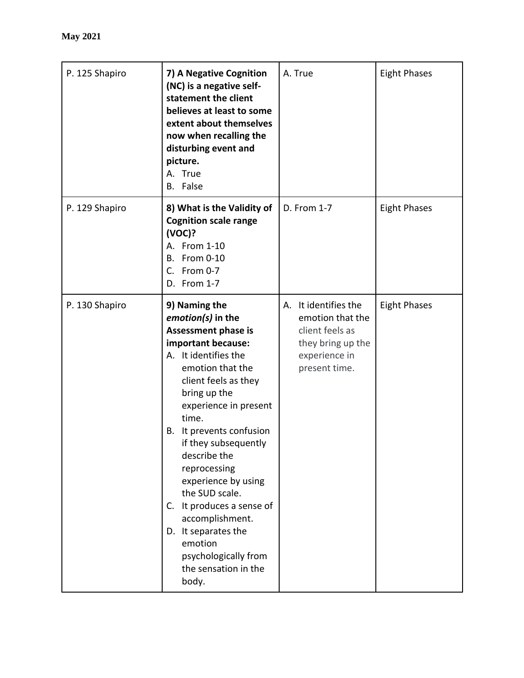| P. 125 Shapiro | 7) A Negative Cognition<br>(NC) is a negative self-<br>statement the client<br>believes at least to some<br>extent about themselves<br>now when recalling the<br>disturbing event and<br>picture.<br>A. True<br>B. False                                                                                                                                                                                                                                                            | A. True                                                                                                            | <b>Eight Phases</b> |
|----------------|-------------------------------------------------------------------------------------------------------------------------------------------------------------------------------------------------------------------------------------------------------------------------------------------------------------------------------------------------------------------------------------------------------------------------------------------------------------------------------------|--------------------------------------------------------------------------------------------------------------------|---------------------|
| P. 129 Shapiro | 8) What is the Validity of<br><b>Cognition scale range</b><br>(VOC)?<br>A. From 1-10<br><b>B.</b> From 0-10<br>C. From 0-7<br>D. From 1-7                                                                                                                                                                                                                                                                                                                                           | D. From 1-7                                                                                                        | <b>Eight Phases</b> |
| P. 130 Shapiro | 9) Naming the<br>emotion(s) in the<br>Assessment phase is<br>important because:<br>A. It identifies the<br>emotion that the<br>client feels as they<br>bring up the<br>experience in present<br>time.<br>It prevents confusion<br>В.<br>if they subsequently<br>describe the<br>reprocessing<br>experience by using<br>the SUD scale.<br>It produces a sense of<br>C.<br>accomplishment.<br>D. It separates the<br>emotion<br>psychologically from<br>the sensation in the<br>body. | A. It identifies the<br>emotion that the<br>client feels as<br>they bring up the<br>experience in<br>present time. | <b>Eight Phases</b> |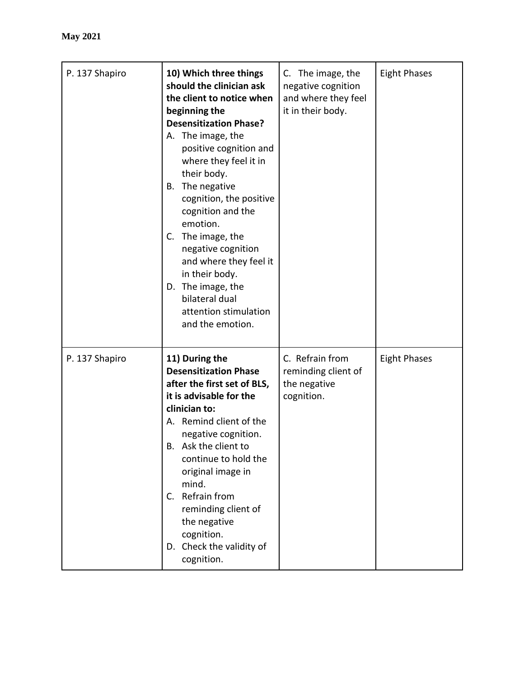| P. 137 Shapiro | 10) Which three things<br>should the clinician ask<br>the client to notice when<br>beginning the<br><b>Desensitization Phase?</b><br>A. The image, the<br>positive cognition and<br>where they feel it in<br>their body.<br>The negative<br>В.<br>cognition, the positive<br>cognition and the<br>emotion.<br>C. The image, the<br>negative cognition<br>and where they feel it<br>in their body.<br>D. The image, the<br>bilateral dual<br>attention stimulation<br>and the emotion. | C. The image, the<br>negative cognition<br>and where they feel<br>it in their body. | <b>Eight Phases</b> |
|----------------|---------------------------------------------------------------------------------------------------------------------------------------------------------------------------------------------------------------------------------------------------------------------------------------------------------------------------------------------------------------------------------------------------------------------------------------------------------------------------------------|-------------------------------------------------------------------------------------|---------------------|
| P. 137 Shapiro | 11) During the<br><b>Desensitization Phase</b><br>after the first set of BLS,<br>it is advisable for the<br>clinician to:<br>A. Remind client of the<br>negative cognition.<br>Ask the client to<br>Β.<br>continue to hold the<br>original image in<br>mind.<br>Refrain from<br>$C_{\cdot}$<br>reminding client of<br>the negative<br>cognition.<br>D. Check the validity of<br>cognition.                                                                                            | C. Refrain from<br>reminding client of<br>the negative<br>cognition.                | <b>Eight Phases</b> |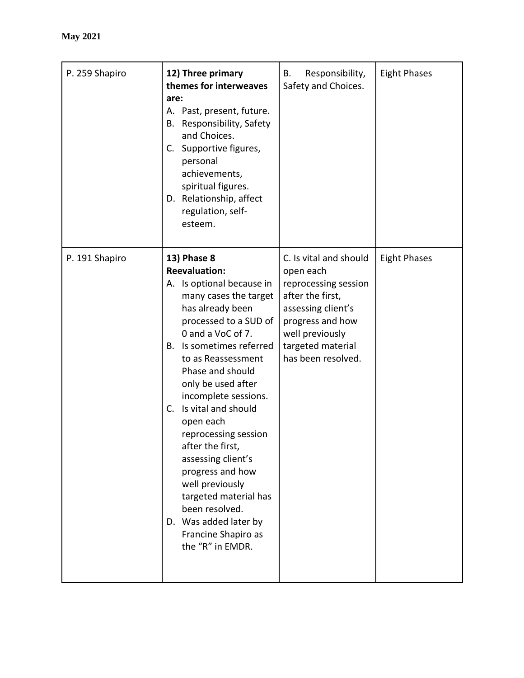| P. 259 Shapiro | 12) Three primary<br>themes for interweaves<br>are:<br>A. Past, present, future.<br>Responsibility, Safety<br>В.<br>and Choices.<br>C. Supportive figures,<br>personal<br>achievements,<br>spiritual figures.<br>D. Relationship, affect<br>regulation, self-<br>esteem.                                                                                                                                                                                                                                                                                    | В.<br>Responsibility,<br>Safety and Choices.                                                                                                                                            | <b>Eight Phases</b> |
|----------------|-------------------------------------------------------------------------------------------------------------------------------------------------------------------------------------------------------------------------------------------------------------------------------------------------------------------------------------------------------------------------------------------------------------------------------------------------------------------------------------------------------------------------------------------------------------|-----------------------------------------------------------------------------------------------------------------------------------------------------------------------------------------|---------------------|
| P. 191 Shapiro | <b>13) Phase 8</b><br><b>Reevaluation:</b><br>A. Is optional because in<br>many cases the target<br>has already been<br>processed to a SUD of<br>0 and a VoC of 7.<br>Is sometimes referred<br>В.<br>to as Reassessment<br>Phase and should<br>only be used after<br>incomplete sessions.<br>Is vital and should<br>C.<br>open each<br>reprocessing session<br>after the first,<br>assessing client's<br>progress and how<br>well previously<br>targeted material has<br>been resolved.<br>D. Was added later by<br>Francine Shapiro as<br>the "R" in EMDR. | C. Is vital and should<br>open each<br>reprocessing session<br>after the first,<br>assessing client's<br>progress and how<br>well previously<br>targeted material<br>has been resolved. | <b>Eight Phases</b> |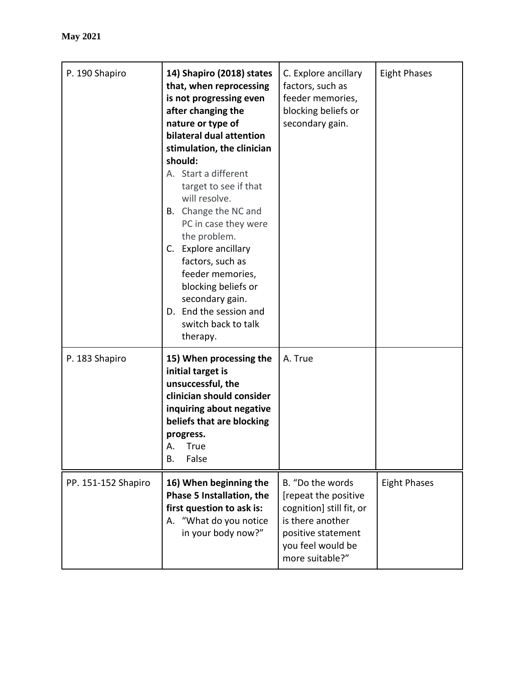| P. 190 Shapiro      | 14) Shapiro (2018) states<br>that, when reprocessing<br>is not progressing even<br>after changing the<br>nature or type of<br>bilateral dual attention<br>stimulation, the clinician<br>should:<br>A. Start a different<br>target to see if that<br>will resolve.<br>B. Change the NC and<br>PC in case they were<br>the problem.<br>C. Explore ancillary<br>factors, such as<br>feeder memories,<br>blocking beliefs or<br>secondary gain.<br>D. End the session and<br>switch back to talk<br>therapy. | C. Explore ancillary<br>factors, such as<br>feeder memories,<br>blocking beliefs or<br>secondary gain.                                                 | <b>Eight Phases</b> |
|---------------------|----------------------------------------------------------------------------------------------------------------------------------------------------------------------------------------------------------------------------------------------------------------------------------------------------------------------------------------------------------------------------------------------------------------------------------------------------------------------------------------------------------|--------------------------------------------------------------------------------------------------------------------------------------------------------|---------------------|
| P. 183 Shapiro      | 15) When processing the<br>initial target is<br>unsuccessful, the<br>clinician should consider<br>inquiring about negative<br>beliefs that are blocking<br>progress.<br>True<br>Α.<br>False<br>Β.                                                                                                                                                                                                                                                                                                        | A. True                                                                                                                                                |                     |
| PP. 151-152 Shapiro | 16) When beginning the<br>Phase 5 Installation, the<br>first question to ask is:<br>"What do you notice<br>А.<br>in your body now?"                                                                                                                                                                                                                                                                                                                                                                      | B. "Do the words<br>[repeat the positive<br>cognition] still fit, or<br>is there another<br>positive statement<br>you feel would be<br>more suitable?" | <b>Eight Phases</b> |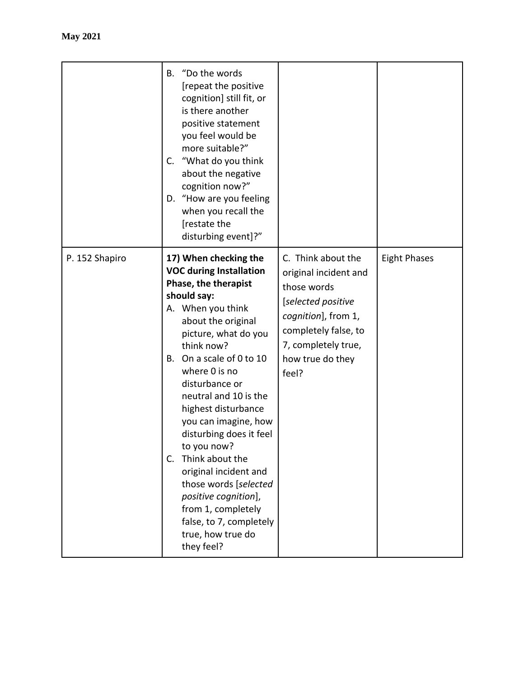|                | B. "Do the words<br>[repeat the positive<br>cognition] still fit, or<br>is there another<br>positive statement<br>you feel would be<br>more suitable?"<br>"What do you think"<br>C.<br>about the negative<br>cognition now?"<br>D. "How are you feeling<br>when you recall the<br>[restate the<br>disturbing event]?"                                                                                                                                                                                                                                            |                                                                                                                                                                                     |                     |
|----------------|------------------------------------------------------------------------------------------------------------------------------------------------------------------------------------------------------------------------------------------------------------------------------------------------------------------------------------------------------------------------------------------------------------------------------------------------------------------------------------------------------------------------------------------------------------------|-------------------------------------------------------------------------------------------------------------------------------------------------------------------------------------|---------------------|
| P. 152 Shapiro | 17) When checking the<br><b>VOC during Installation</b><br>Phase, the therapist<br>should say:<br>A. When you think<br>about the original<br>picture, what do you<br>think now?<br>B. On a scale of 0 to 10<br>where 0 is no<br>disturbance or<br>neutral and 10 is the<br>highest disturbance<br>you can imagine, how<br>disturbing does it feel<br>to you now?<br>Think about the<br>$C_{\cdot}$<br>original incident and<br>those words [selected<br>positive cognition],<br>from 1, completely<br>false, to 7, completely<br>true, how true do<br>they feel? | C. Think about the<br>original incident and<br>those words<br>[selected positive<br>cognition], from 1,<br>completely false, to<br>7, completely true,<br>how true do they<br>feel? | <b>Eight Phases</b> |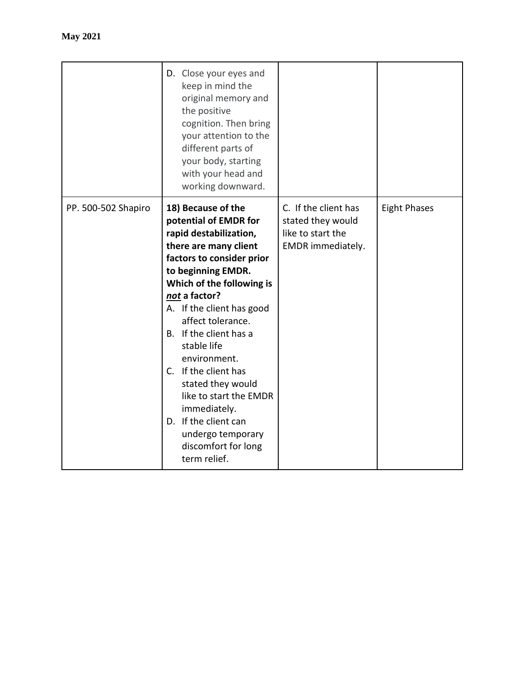|                     | D. Close your eyes and<br>keep in mind the<br>original memory and<br>the positive<br>cognition. Then bring<br>your attention to the<br>different parts of<br>your body, starting<br>with your head and<br>working downward.                                                                                                                                                                                                                                                           |                                                                                     |                     |
|---------------------|---------------------------------------------------------------------------------------------------------------------------------------------------------------------------------------------------------------------------------------------------------------------------------------------------------------------------------------------------------------------------------------------------------------------------------------------------------------------------------------|-------------------------------------------------------------------------------------|---------------------|
| PP. 500-502 Shapiro | 18) Because of the<br>potential of EMDR for<br>rapid destabilization,<br>there are many client<br>factors to consider prior<br>to beginning EMDR.<br>Which of the following is<br>not a factor?<br>A. If the client has good<br>affect tolerance.<br>B. If the client has a<br>stable life<br>environment.<br>C. If the client has<br>stated they would<br>like to start the EMDR<br>immediately.<br>D. If the client can<br>undergo temporary<br>discomfort for long<br>term relief. | C. If the client has<br>stated they would<br>like to start the<br>EMDR immediately. | <b>Eight Phases</b> |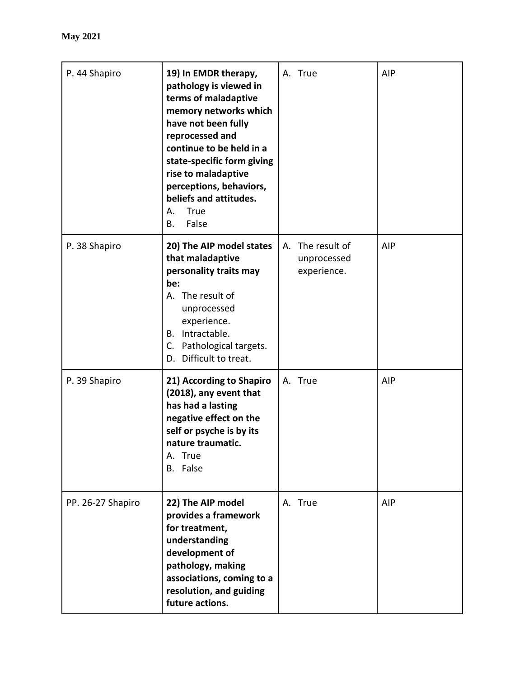| P. 44 Shapiro     | 19) In EMDR therapy,<br>pathology is viewed in<br>terms of maladaptive<br>memory networks which<br>have not been fully<br>reprocessed and<br>continue to be held in a<br>state-specific form giving<br>rise to maladaptive<br>perceptions, behaviors,<br>beliefs and attitudes.<br><b>True</b><br>А.<br>False<br>Β. | A. True                                        | AIP |
|-------------------|---------------------------------------------------------------------------------------------------------------------------------------------------------------------------------------------------------------------------------------------------------------------------------------------------------------------|------------------------------------------------|-----|
| P. 38 Shapiro     | 20) The AIP model states<br>that maladaptive<br>personality traits may<br>be:<br>A. The result of<br>unprocessed<br>experience.<br>B. Intractable.<br>C. Pathological targets.<br>D. Difficult to treat.                                                                                                            | A. The result of<br>unprocessed<br>experience. | AIP |
| P. 39 Shapiro     | 21) According to Shapiro<br>(2018), any event that<br>has had a lasting<br>negative effect on the<br>self or psyche is by its<br>nature traumatic.<br>A. True<br>B. False                                                                                                                                           | A. True                                        | AIP |
| PP. 26-27 Shapiro | 22) The AIP model<br>provides a framework<br>for treatment,<br>understanding<br>development of<br>pathology, making<br>associations, coming to a<br>resolution, and guiding<br>future actions.                                                                                                                      | A. True                                        | AIP |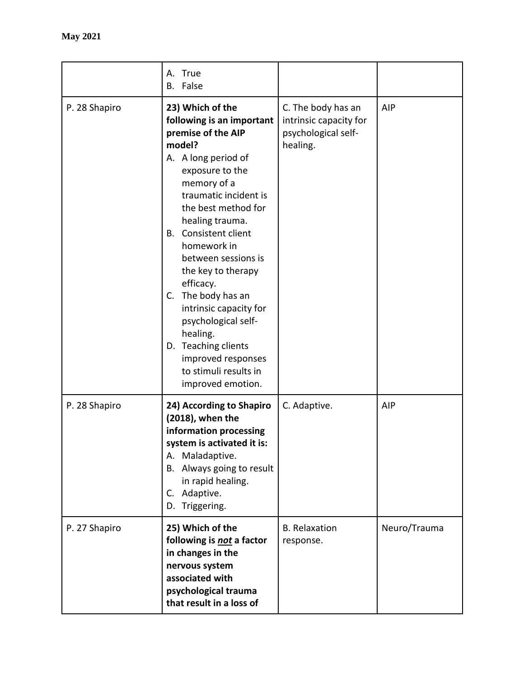|               | True<br>А.<br>False<br>В.                                                                                                                                                                                                                                                                                                                                                                                                                                                                      |                                                                                 |              |
|---------------|------------------------------------------------------------------------------------------------------------------------------------------------------------------------------------------------------------------------------------------------------------------------------------------------------------------------------------------------------------------------------------------------------------------------------------------------------------------------------------------------|---------------------------------------------------------------------------------|--------------|
| P. 28 Shapiro | 23) Which of the<br>following is an important<br>premise of the AIP<br>model?<br>A. A long period of<br>exposure to the<br>memory of a<br>traumatic incident is<br>the best method for<br>healing trauma.<br>Consistent client<br>В.<br>homework in<br>between sessions is<br>the key to therapy<br>efficacy.<br>The body has an<br>C.<br>intrinsic capacity for<br>psychological self-<br>healing.<br>D. Teaching clients<br>improved responses<br>to stimuli results in<br>improved emotion. | C. The body has an<br>intrinsic capacity for<br>psychological self-<br>healing. | AIP          |
| P. 28 Shapiro | 24) According to Shapiro<br>(2018), when the<br>information processing<br>system is activated it is:<br>Maladaptive.<br>А.<br>B. Always going to result<br>in rapid healing.<br>Adaptive.<br>C.<br>D. Triggering.                                                                                                                                                                                                                                                                              | C. Adaptive.                                                                    | AIP          |
| P. 27 Shapiro | 25) Which of the<br>following is not a factor<br>in changes in the<br>nervous system<br>associated with<br>psychological trauma<br>that result in a loss of                                                                                                                                                                                                                                                                                                                                    | <b>B.</b> Relaxation<br>response.                                               | Neuro/Trauma |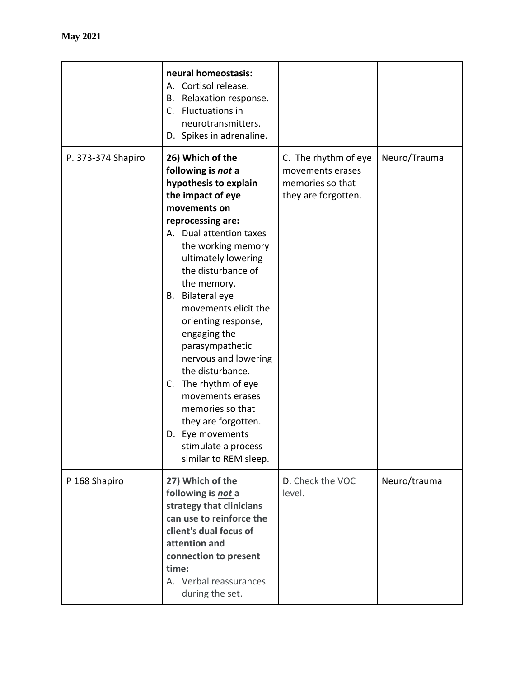|                    | neural homeostasis:<br>A. Cortisol release.<br>Relaxation response.<br>В.<br>Fluctuations in<br>$C_{\cdot}$<br>neurotransmitters.<br>D. Spikes in adrenaline.                                                                                                                                                                                                                                                                                                                                                                                                    |                                                                                     |              |
|--------------------|------------------------------------------------------------------------------------------------------------------------------------------------------------------------------------------------------------------------------------------------------------------------------------------------------------------------------------------------------------------------------------------------------------------------------------------------------------------------------------------------------------------------------------------------------------------|-------------------------------------------------------------------------------------|--------------|
| P. 373-374 Shapiro | 26) Which of the<br>following is not a<br>hypothesis to explain<br>the impact of eye<br>movements on<br>reprocessing are:<br>A. Dual attention taxes<br>the working memory<br>ultimately lowering<br>the disturbance of<br>the memory.<br><b>Bilateral eye</b><br>В.<br>movements elicit the<br>orienting response,<br>engaging the<br>parasympathetic<br>nervous and lowering<br>the disturbance.<br>The rhythm of eye<br>C.<br>movements erases<br>memories so that<br>they are forgotten.<br>D. Eye movements<br>stimulate a process<br>similar to REM sleep. | C. The rhythm of eye<br>movements erases<br>memories so that<br>they are forgotten. | Neuro/Trauma |
| P 168 Shapiro      | 27) Which of the<br>following is not a<br>strategy that clinicians<br>can use to reinforce the<br>client's dual focus of<br>attention and<br>connection to present<br>time:<br>A. Verbal reassurances<br>during the set.                                                                                                                                                                                                                                                                                                                                         | D. Check the VOC<br>level.                                                          | Neuro/trauma |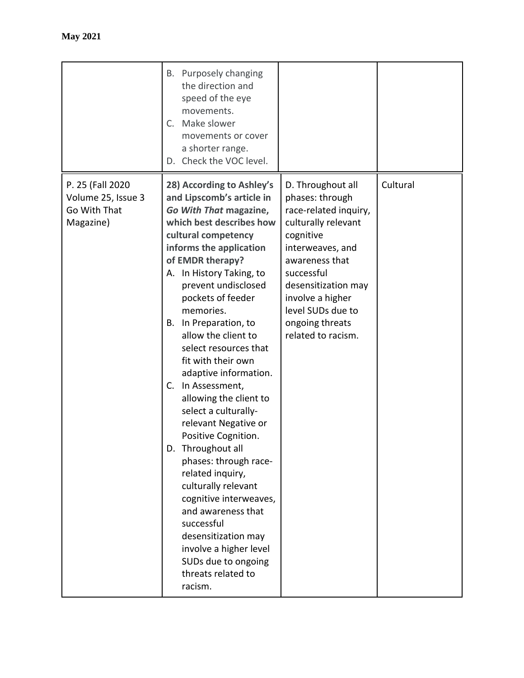|                                                                     | Purposely changing<br>В.<br>the direction and<br>speed of the eye<br>movements.<br>Make slower<br>C.<br>movements or cover<br>a shorter range.<br>Check the VOC level.<br>D.                                                                                                                                                                                                                                                                                                                                                                                                                                                                                                                                                                                                                |                                                                                                                                                                                                                                                                |          |
|---------------------------------------------------------------------|---------------------------------------------------------------------------------------------------------------------------------------------------------------------------------------------------------------------------------------------------------------------------------------------------------------------------------------------------------------------------------------------------------------------------------------------------------------------------------------------------------------------------------------------------------------------------------------------------------------------------------------------------------------------------------------------------------------------------------------------------------------------------------------------|----------------------------------------------------------------------------------------------------------------------------------------------------------------------------------------------------------------------------------------------------------------|----------|
| P. 25 (Fall 2020<br>Volume 25, Issue 3<br>Go With That<br>Magazine) | 28) According to Ashley's<br>and Lipscomb's article in<br>Go With That magazine,<br>which best describes how<br>cultural competency<br>informs the application<br>of EMDR therapy?<br>A. In History Taking, to<br>prevent undisclosed<br>pockets of feeder<br>memories.<br>In Preparation, to<br>В.<br>allow the client to<br>select resources that<br>fit with their own<br>adaptive information.<br>In Assessment,<br>C.<br>allowing the client to<br>select a culturally-<br>relevant Negative or<br>Positive Cognition.<br>D. Throughout all<br>phases: through race-<br>related inquiry,<br>culturally relevant<br>cognitive interweaves,<br>and awareness that<br>successful<br>desensitization may<br>involve a higher level<br>SUDs due to ongoing<br>threats related to<br>racism. | D. Throughout all<br>phases: through<br>race-related inquiry,<br>culturally relevant<br>cognitive<br>interweaves, and<br>awareness that<br>successful<br>desensitization may<br>involve a higher<br>level SUDs due to<br>ongoing threats<br>related to racism. | Cultural |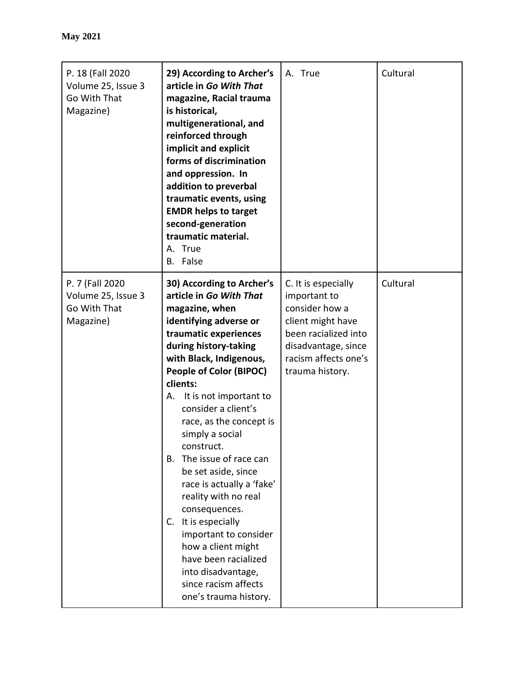| P. 18 (Fall 2020<br>Volume 25, Issue 3<br>Go With That<br>Magazine) | 29) According to Archer's<br>article in Go With That<br>magazine, Racial trauma<br>is historical,<br>multigenerational, and<br>reinforced through<br>implicit and explicit<br>forms of discrimination<br>and oppression. In<br>addition to preverbal<br>traumatic events, using<br><b>EMDR helps to target</b><br>second-generation<br>traumatic material.<br>A. True<br>B. False                                                                                                                                                                                                                                                           | A. True                                                                                                                                                              | Cultural |
|---------------------------------------------------------------------|---------------------------------------------------------------------------------------------------------------------------------------------------------------------------------------------------------------------------------------------------------------------------------------------------------------------------------------------------------------------------------------------------------------------------------------------------------------------------------------------------------------------------------------------------------------------------------------------------------------------------------------------|----------------------------------------------------------------------------------------------------------------------------------------------------------------------|----------|
| P. 7 (Fall 2020<br>Volume 25, Issue 3<br>Go With That<br>Magazine)  | 30) According to Archer's<br>article in Go With That<br>magazine, when<br>identifying adverse or<br>traumatic experiences<br>during history-taking<br>with Black, Indigenous,<br>People of Color (BIPOC)<br>clients:<br>It is not important to<br>А.<br>consider a client's<br>race, as the concept is<br>simply a social<br>construct.<br>The issue of race can<br>В.<br>be set aside, since<br>race is actually a 'fake'<br>reality with no real<br>consequences.<br>It is especially<br>C.<br>important to consider<br>how a client might<br>have been racialized<br>into disadvantage,<br>since racism affects<br>one's trauma history. | C. It is especially<br>important to<br>consider how a<br>client might have<br>been racialized into<br>disadvantage, since<br>racism affects one's<br>trauma history. | Cultural |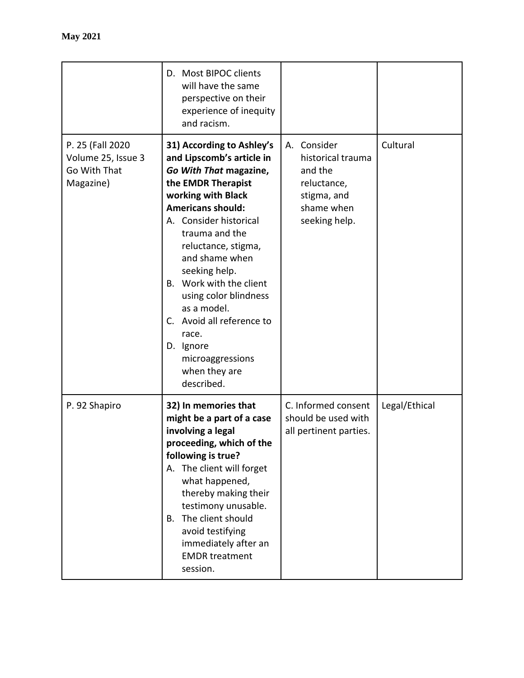|                                                                      | D. Most BIPOC clients<br>will have the same<br>perspective on their<br>experience of inequity<br>and racism.                                                                                                                                                                                                                                                                                                                               |                                                                                                             |               |
|----------------------------------------------------------------------|--------------------------------------------------------------------------------------------------------------------------------------------------------------------------------------------------------------------------------------------------------------------------------------------------------------------------------------------------------------------------------------------------------------------------------------------|-------------------------------------------------------------------------------------------------------------|---------------|
| P. 25 (Fall 2020)<br>Volume 25, Issue 3<br>Go With That<br>Magazine) | 31) According to Ashley's<br>and Lipscomb's article in<br>Go With That magazine,<br>the EMDR Therapist<br>working with Black<br><b>Americans should:</b><br>A. Consider historical<br>trauma and the<br>reluctance, stigma,<br>and shame when<br>seeking help.<br>B. Work with the client<br>using color blindness<br>as a model.<br>Avoid all reference to<br>C.<br>race.<br>D. Ignore<br>microaggressions<br>when they are<br>described. | Consider<br>А.<br>historical trauma<br>and the<br>reluctance,<br>stigma, and<br>shame when<br>seeking help. | Cultural      |
| P. 92 Shapiro                                                        | 32) In memories that<br>might be a part of a case<br>involving a legal<br>proceeding, which of the<br>following is true?<br>A. The client will forget<br>what happened,<br>thereby making their<br>testimony unusable.<br>The client should<br>В.<br>avoid testifying<br>immediately after an<br><b>EMDR</b> treatment<br>session.                                                                                                         | C. Informed consent<br>should be used with<br>all pertinent parties.                                        | Legal/Ethical |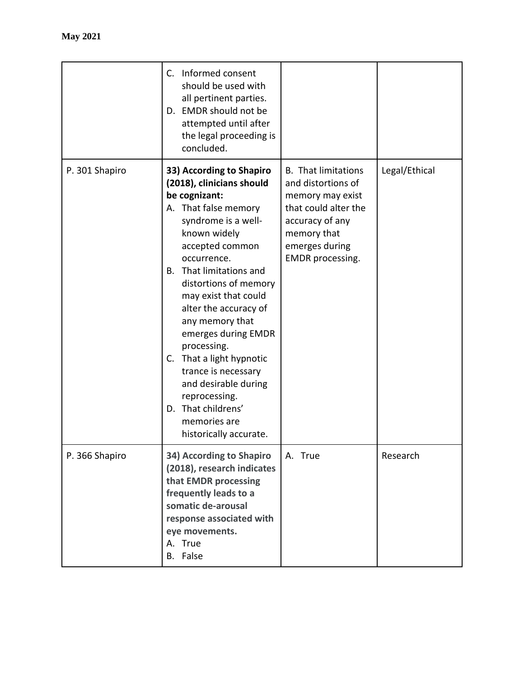|                | C. Informed consent<br>should be used with<br>all pertinent parties.<br>D. EMDR should not be<br>attempted until after<br>the legal proceeding is<br>concluded.                                                                                                                                                                                                                                                                                                                                      |                                                                                                                                                                      |               |
|----------------|------------------------------------------------------------------------------------------------------------------------------------------------------------------------------------------------------------------------------------------------------------------------------------------------------------------------------------------------------------------------------------------------------------------------------------------------------------------------------------------------------|----------------------------------------------------------------------------------------------------------------------------------------------------------------------|---------------|
| P. 301 Shapiro | 33) According to Shapiro<br>(2018), clinicians should<br>be cognizant:<br>A. That false memory<br>syndrome is a well-<br>known widely<br>accepted common<br>occurrence.<br>That limitations and<br>В.<br>distortions of memory<br>may exist that could<br>alter the accuracy of<br>any memory that<br>emerges during EMDR<br>processing.<br>C. That a light hypnotic<br>trance is necessary<br>and desirable during<br>reprocessing.<br>D. That childrens'<br>memories are<br>historically accurate. | <b>B.</b> That limitations<br>and distortions of<br>memory may exist<br>that could alter the<br>accuracy of any<br>memory that<br>emerges during<br>EMDR processing. | Legal/Ethical |
| P. 366 Shapiro | 34) According to Shapiro<br>(2018), research indicates<br>that EMDR processing<br>frequently leads to a<br>somatic de-arousal<br>response associated with<br>eye movements.<br>A. True<br>B. False                                                                                                                                                                                                                                                                                                   | A. True                                                                                                                                                              | Research      |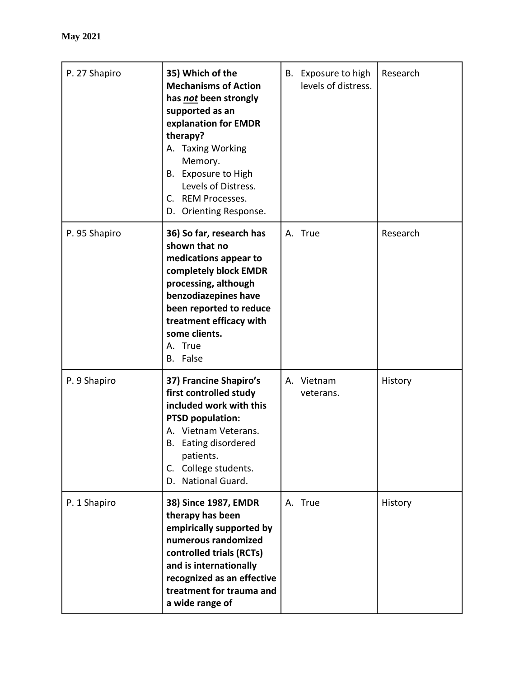| P. 27 Shapiro | 35) Which of the<br><b>Mechanisms of Action</b><br>has <i>not</i> been strongly<br>supported as an<br>explanation for EMDR<br>therapy?<br>A. Taxing Working<br>Memory.<br>B. Exposure to High<br>Levels of Distress.<br>C. REM Processes.<br>D. Orienting Response. |    | B. Exposure to high<br>levels of distress. | Research |
|---------------|---------------------------------------------------------------------------------------------------------------------------------------------------------------------------------------------------------------------------------------------------------------------|----|--------------------------------------------|----------|
| P. 95 Shapiro | 36) So far, research has<br>shown that no<br>medications appear to<br>completely block EMDR<br>processing, although<br>benzodiazepines have<br>been reported to reduce<br>treatment efficacy with<br>some clients.<br>A. True<br>B. False                           |    | A. True                                    | Research |
| P. 9 Shapiro  | 37) Francine Shapiro's<br>first controlled study<br>included work with this<br><b>PTSD population:</b><br>A. Vietnam Veterans.<br>Eating disordered<br>В.<br>patients.<br>C. College students.<br>D. National Guard.                                                | А. | Vietnam<br>veterans.                       | History  |
| P. 1 Shapiro  | 38) Since 1987, EMDR<br>therapy has been<br>empirically supported by<br>numerous randomized<br>controlled trials (RCTs)<br>and is internationally<br>recognized as an effective<br>treatment for trauma and<br>a wide range of                                      |    | A. True                                    | History  |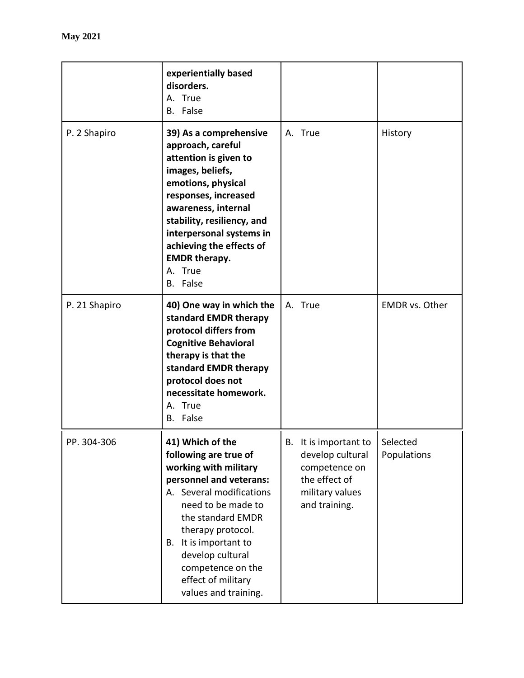|               | experientially based<br>disorders.<br>A. True<br>B. False                                                                                                                                                                                                                                                    |                                                                                                                   |                         |
|---------------|--------------------------------------------------------------------------------------------------------------------------------------------------------------------------------------------------------------------------------------------------------------------------------------------------------------|-------------------------------------------------------------------------------------------------------------------|-------------------------|
| P. 2 Shapiro  | 39) As a comprehensive<br>approach, careful<br>attention is given to<br>images, beliefs,<br>emotions, physical<br>responses, increased<br>awareness, internal<br>stability, resiliency, and<br>interpersonal systems in<br>achieving the effects of<br><b>EMDR therapy.</b><br>A. True<br>B. False           | A. True                                                                                                           | History                 |
| P. 21 Shapiro | 40) One way in which the<br>standard EMDR therapy<br>protocol differs from<br><b>Cognitive Behavioral</b><br>therapy is that the<br>standard EMDR therapy<br>protocol does not<br>necessitate homework.<br>A. True<br>B. False                                                                               | A. True                                                                                                           | <b>EMDR</b> vs. Other   |
| PP. 304-306   | 41) Which of the<br>following are true of<br>working with military<br>personnel and veterans:<br>A. Several modifications<br>need to be made to<br>the standard EMDR<br>therapy protocol.<br>It is important to<br>В.<br>develop cultural<br>competence on the<br>effect of military<br>values and training. | B. It is important to  <br>develop cultural<br>competence on<br>the effect of<br>military values<br>and training. | Selected<br>Populations |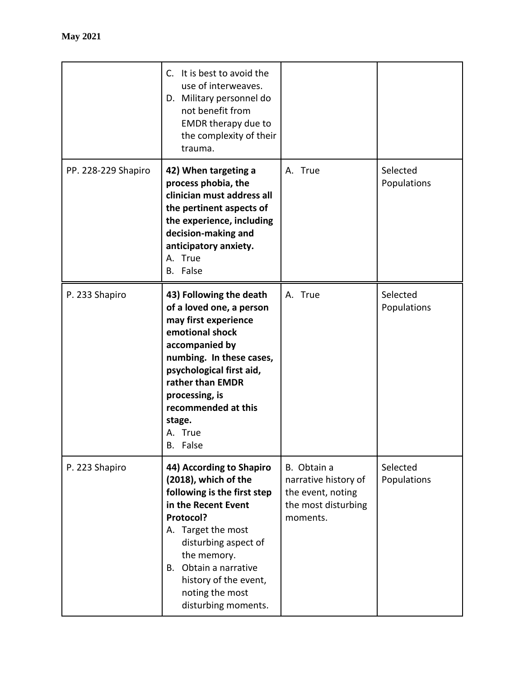|                     | It is best to avoid the<br>C.<br>use of interweaves.<br>D. Military personnel do<br>not benefit from<br><b>EMDR</b> therapy due to<br>the complexity of their<br>trauma.                                                                                                        |                                                                                             |                         |
|---------------------|---------------------------------------------------------------------------------------------------------------------------------------------------------------------------------------------------------------------------------------------------------------------------------|---------------------------------------------------------------------------------------------|-------------------------|
| PP. 228-229 Shapiro | 42) When targeting a<br>process phobia, the<br>clinician must address all<br>the pertinent aspects of<br>the experience, including<br>decision-making and<br>anticipatory anxiety.<br>A. True<br>B. False                                                                       | A. True                                                                                     | Selected<br>Populations |
| P. 233 Shapiro      | 43) Following the death<br>of a loved one, a person<br>may first experience<br>emotional shock<br>accompanied by<br>numbing. In these cases,<br>psychological first aid,<br>rather than EMDR<br>processing, is<br>recommended at this<br>stage.<br>A. True<br>B. False          | A. True                                                                                     | Selected<br>Populations |
| P. 223 Shapiro      | 44) According to Shapiro<br>(2018), which of the<br>following is the first step<br>in the Recent Event<br>Protocol?<br>A. Target the most<br>disturbing aspect of<br>the memory.<br>Obtain a narrative<br>В.<br>history of the event,<br>noting the most<br>disturbing moments. | B. Obtain a<br>narrative history of<br>the event, noting<br>the most disturbing<br>moments. | Selected<br>Populations |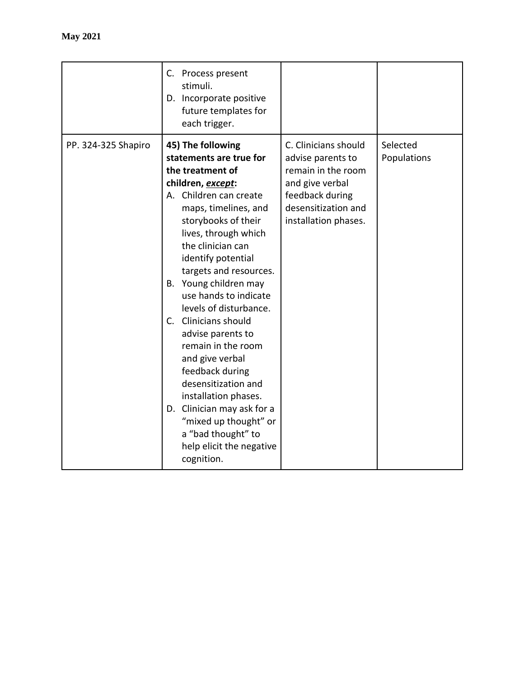|                     | C. Process present<br>stimuli.<br>D. Incorporate positive<br>future templates for<br>each trigger.                                                                                                                                                                                                                                                                                                                                                                                                                                                                                                                     |                                                                                                                                                      |                         |
|---------------------|------------------------------------------------------------------------------------------------------------------------------------------------------------------------------------------------------------------------------------------------------------------------------------------------------------------------------------------------------------------------------------------------------------------------------------------------------------------------------------------------------------------------------------------------------------------------------------------------------------------------|------------------------------------------------------------------------------------------------------------------------------------------------------|-------------------------|
| PP. 324-325 Shapiro | 45) The following<br>statements are true for<br>the treatment of<br>children, except:<br>A. Children can create<br>maps, timelines, and<br>storybooks of their<br>lives, through which<br>the clinician can<br>identify potential<br>targets and resources.<br>B. Young children may<br>use hands to indicate<br>levels of disturbance.<br>C. Clinicians should<br>advise parents to<br>remain in the room<br>and give verbal<br>feedback during<br>desensitization and<br>installation phases.<br>D. Clinician may ask for a<br>"mixed up thought" or<br>a "bad thought" to<br>help elicit the negative<br>cognition. | C. Clinicians should<br>advise parents to<br>remain in the room<br>and give verbal<br>feedback during<br>desensitization and<br>installation phases. | Selected<br>Populations |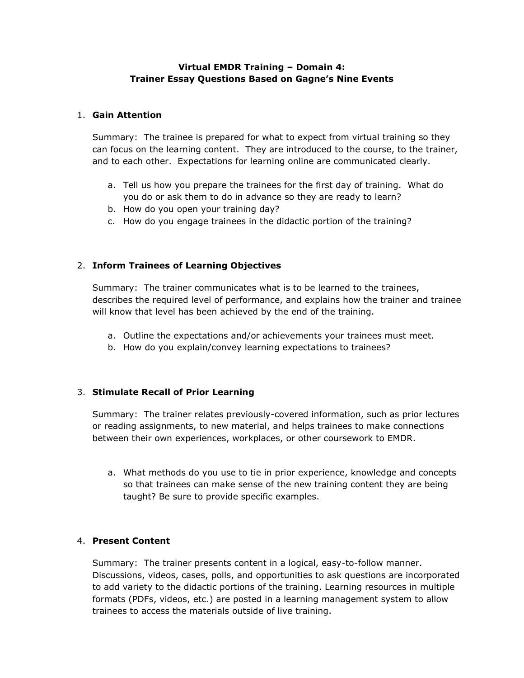## **Virtual EMDR Training – Domain 4: Trainer Essay Questions Based on Gagne's Nine Events**

## 1. **Gain Attention**

Summary: The trainee is prepared for what to expect from virtual training so they can focus on the learning content. They are introduced to the course, to the trainer, and to each other. Expectations for learning online are communicated clearly.

- a. Tell us how you prepare the trainees for the first day of training. What do you do or ask them to do in advance so they are ready to learn?
- b. How do you open your training day?
- c. How do you engage trainees in the didactic portion of the training?

## 2. **Inform Trainees of Learning Objectives**

Summary: The trainer communicates what is to be learned to the trainees, describes the required level of performance, and explains how the trainer and trainee will know that level has been achieved by the end of the training.

- a. Outline the expectations and/or achievements your trainees must meet.
- b. How do you explain/convey learning expectations to trainees?

## 3. **Stimulate Recall of Prior Learning**

Summary: The trainer relates previously-covered information, such as prior lectures or reading assignments, to new material, and helps trainees to make connections between their own experiences, workplaces, or other coursework to EMDR.

a. What methods do you use to tie in prior experience, knowledge and concepts so that trainees can make sense of the new training content they are being taught? Be sure to provide specific examples.

## 4. **Present Content**

Summary: The trainer presents content in a logical, easy-to-follow manner. Discussions, videos, cases, polls, and opportunities to ask questions are incorporated to add variety to the didactic portions of the training. Learning resources in multiple formats (PDFs, videos, etc.) are posted in a learning management system to allow trainees to access the materials outside of live training.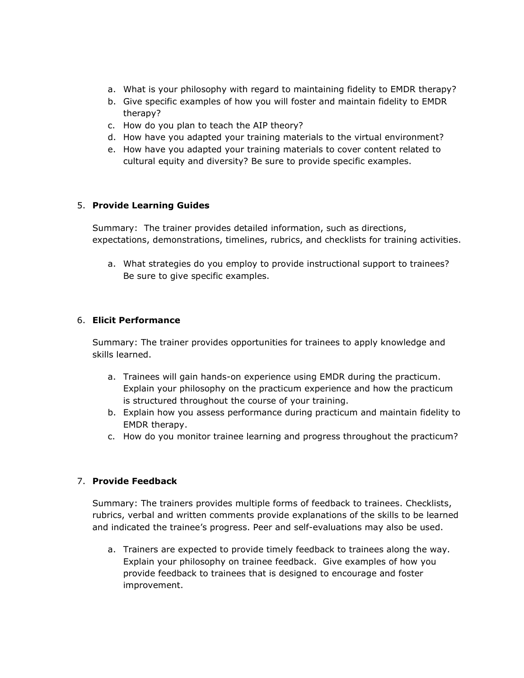- a. What is your philosophy with regard to maintaining fidelity to EMDR therapy?
- b. Give specific examples of how you will foster and maintain fidelity to EMDR therapy?
- c. How do you plan to teach the AIP theory?
- d. How have you adapted your training materials to the virtual environment?
- e. How have you adapted your training materials to cover content related to cultural equity and diversity? Be sure to provide specific examples.

## 5. **Provide Learning Guides**

Summary: The trainer provides detailed information, such as directions, expectations, demonstrations, timelines, rubrics, and checklists for training activities.

a. What strategies do you employ to provide instructional support to trainees? Be sure to give specific examples.

## 6. **Elicit Performance**

Summary: The trainer provides opportunities for trainees to apply knowledge and skills learned.

- a. Trainees will gain hands-on experience using EMDR during the practicum. Explain your philosophy on the practicum experience and how the practicum is structured throughout the course of your training.
- b. Explain how you assess performance during practicum and maintain fidelity to EMDR therapy.
- c. How do you monitor trainee learning and progress throughout the practicum?

## 7. **Provide Feedback**

Summary: The trainers provides multiple forms of feedback to trainees. Checklists, rubrics, verbal and written comments provide explanations of the skills to be learned and indicated the trainee's progress. Peer and self-evaluations may also be used.

a. Trainers are expected to provide timely feedback to trainees along the way. Explain your philosophy on trainee feedback. Give examples of how you provide feedback to trainees that is designed to encourage and foster improvement.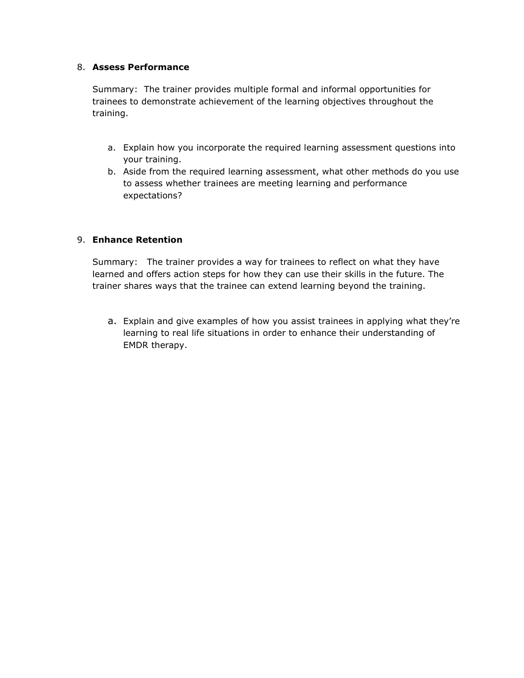## 8. **Assess Performance**

Summary: The trainer provides multiple formal and informal opportunities for trainees to demonstrate achievement of the learning objectives throughout the training.

- a. Explain how you incorporate the required learning assessment questions into your training.
- b. Aside from the required learning assessment, what other methods do you use to assess whether trainees are meeting learning and performance expectations?

## 9. **Enhance Retention**

Summary: The trainer provides a way for trainees to reflect on what they have learned and offers action steps for how they can use their skills in the future. The trainer shares ways that the trainee can extend learning beyond the training.

a. Explain and give examples of how you assist trainees in applying what they're learning to real life situations in order to enhance their understanding of EMDR therapy.